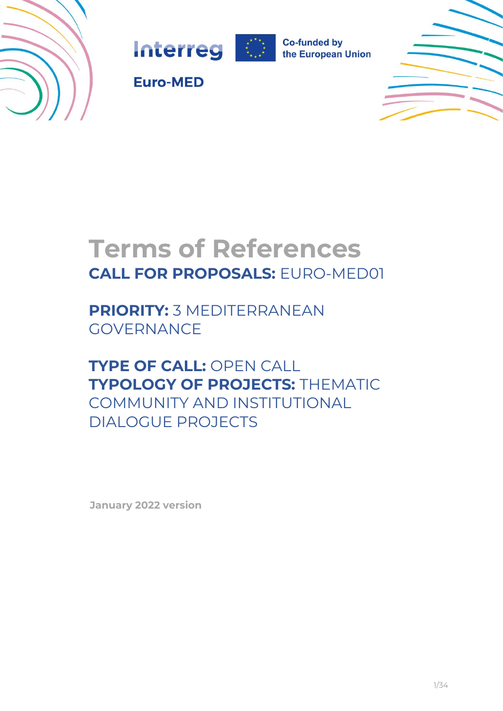





**Co-funded by** the European Union



**Euro-MED** 

# **Terms of References CALL FOR PROPOSALS:** EURO-MED01

**PRIORITY:** 3 MEDITERRANEAN GOVERNANCE

**TYPE OF CALL:** OPEN CALL **TYPOLOGY OF PROJECTS:** THEMATIC COMMUNITY AND INSTITUTIONAL DIALOGUE PROJECTS

**January 2022 version**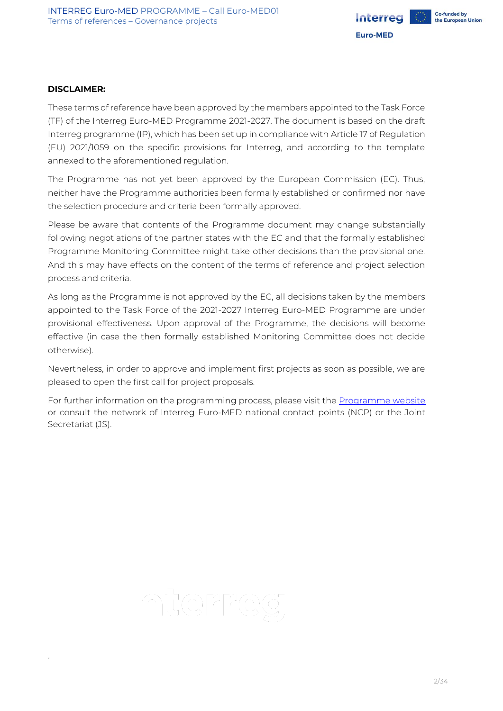

#### **DISCLAIMER:**

2

These terms of reference have been approved by the members appointed to the Task Force (TF) of the Interreg Euro-MED Programme 2021-2027. The document is based on the draft Interreg programme (IP), which has been set up in compliance with Article 17 of Regulation (EU) 2021/1059 on the specific provisions for Interreg, and according to the template annexed to the aforementioned regulation.

The Programme has not yet been approved by the European Commission (EC). Thus, neither have the Programme authorities been formally established or confirmed nor have the selection procedure and criteria been formally approved.

Please be aware that contents of the Programme document may change substantially following negotiations of the partner states with the EC and that the formally established Programme Monitoring Committee might take other decisions than the provisional one. And this may have effects on the content of the terms of reference and project selection process and criteria.

As long as the Programme is not approved by the EC, all decisions taken by the members appointed to the Task Force of the 2021-2027 Interreg Euro-MED Programme are under provisional effectiveness. Upon approval of the Programme, the decisions will become effective (in case the then formally established Monitoring Committee does not decide otherwise).

Nevertheless, in order to approve and implement first projects as soon as possible, we are pleased to open the first call for project proposals.

For further information on the programming process, please visit the [Programme website](https://interreg-euro-med.eu/) or consult the network of Interreg Euro-MED national contact points (NCP) or the Joint Secretariat (JS).

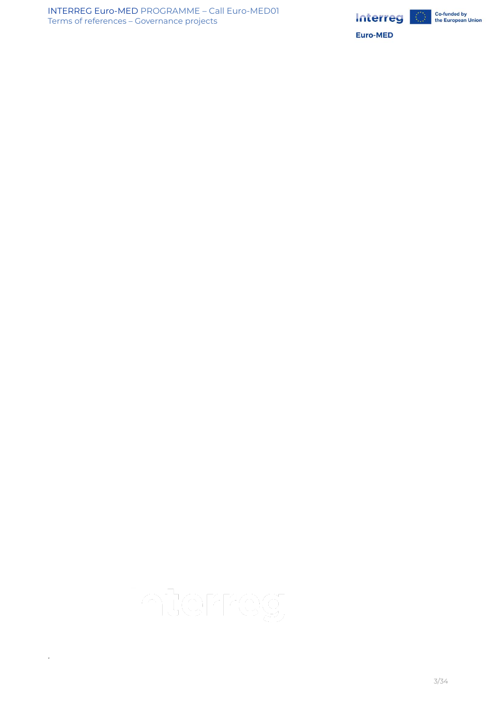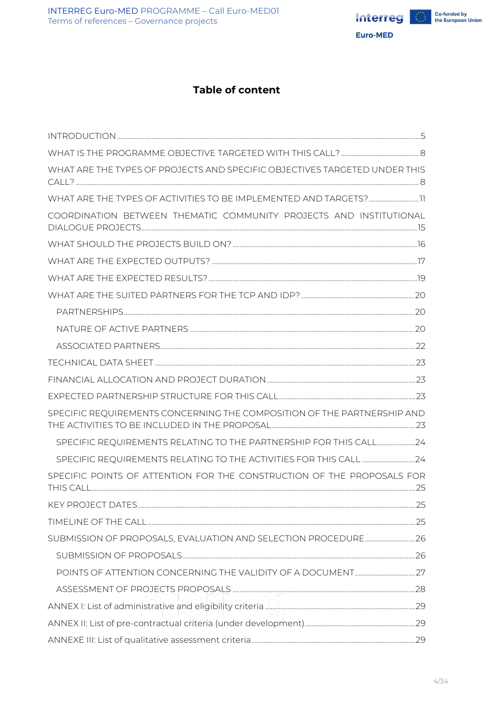

## **Table of content**

| WHAT ARE THE TYPES OF PROJECTS AND SPECIFIC OBJECTIVES TARGETED UNDER THIS |  |
|----------------------------------------------------------------------------|--|
| WHAT ARE THE TYPES OF ACTIVITIES TO BE IMPLEMENTED AND TARGETS?11          |  |
| COORDINATION BETWEEN THEMATIC COMMUNITY PROJECTS AND INSTITUTIONAL         |  |
|                                                                            |  |
|                                                                            |  |
|                                                                            |  |
|                                                                            |  |
|                                                                            |  |
|                                                                            |  |
|                                                                            |  |
|                                                                            |  |
|                                                                            |  |
|                                                                            |  |
| SPECIFIC REQUIREMENTS CONCERNING THE COMPOSITION OF THE PARTNERSHIP AND    |  |
| SPECIFIC REQUIREMENTS RELATING TO THE PARTNERSHIP FOR THIS CALL24          |  |
|                                                                            |  |
| SPECIFIC POINTS OF ATTENTION FOR THE CONSTRUCTION OF THE PROPOSALS FOR     |  |
|                                                                            |  |
|                                                                            |  |
|                                                                            |  |
|                                                                            |  |
|                                                                            |  |
|                                                                            |  |
|                                                                            |  |
|                                                                            |  |
|                                                                            |  |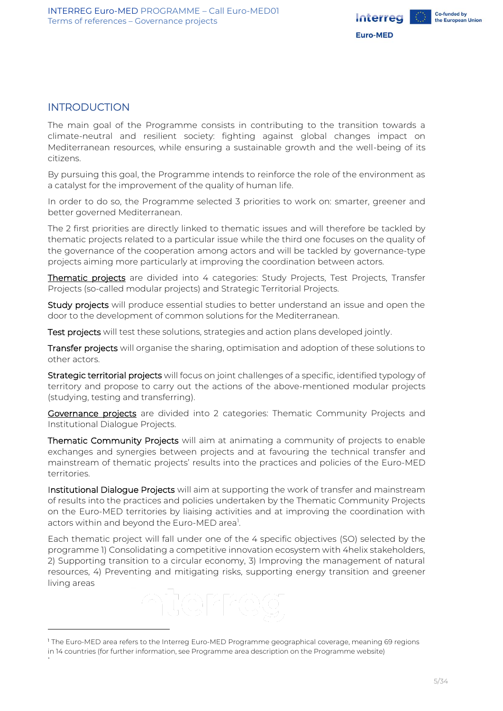

## <span id="page-4-0"></span>INTRODUCTION

5

The main goal of the Programme consists in contributing to the transition towards a climate-neutral and resilient society: fighting against global changes impact on Mediterranean resources, while ensuring a sustainable growth and the well-being of its citizens.

By pursuing this goal, the Programme intends to reinforce the role of the environment as a catalyst for the improvement of the quality of human life.

In order to do so, the Programme selected 3 priorities to work on: smarter, greener and better governed Mediterranean.

The 2 first priorities are directly linked to thematic issues and will therefore be tackled by thematic projects related to a particular issue while the third one focuses on the quality of the governance of the cooperation among actors and will be tackled by governance-type projects aiming more particularly at improving the coordination between actors.

Thematic projects are divided into 4 categories: Study Projects, Test Projects, Transfer Projects (so-called modular projects) and Strategic Territorial Projects.

Study projects will produce essential studies to better understand an issue and open the door to the development of common solutions for the Mediterranean.

Test projects will test these solutions, strategies and action plans developed jointly.

Transfer projects will organise the sharing, optimisation and adoption of these solutions to other actors.

Strategic territorial projects will focus on joint challenges of a specific, identified typology of territory and propose to carry out the actions of the above-mentioned modular projects (studying, testing and transferring).

Governance projects are divided into 2 categories: Thematic Community Projects and Institutional Dialogue Projects.

Thematic Community Projects will aim at animating a community of projects to enable exchanges and synergies between projects and at favouring the technical transfer and mainstream of thematic projects' results into the practices and policies of the Euro-MED territories.

Institutional Dialogue Projects will aim at supporting the work of transfer and mainstream of results into the practices and policies undertaken by the Thematic Community Projects on the Euro-MED territories by liaising activities and at improving the coordination with actors within and beyond the Euro-MED area<sup>1</sup>.

Each thematic project will fall under one of the 4 specific objectives (SO) selected by the programme 1) Consolidating a competitive innovation ecosystem with 4helix stakeholders, 2) Supporting transition to a circular economy, 3) Improving the management of natural resources, 4) Preventing and mitigating risks, supporting energy transition and greener living areas

<sup>1</sup> The Euro-MED area refers to the Interreg Euro-MED Programme geographical coverage, meaning 69 regions in 14 countries (for further information, see Programme area description on the Programme website)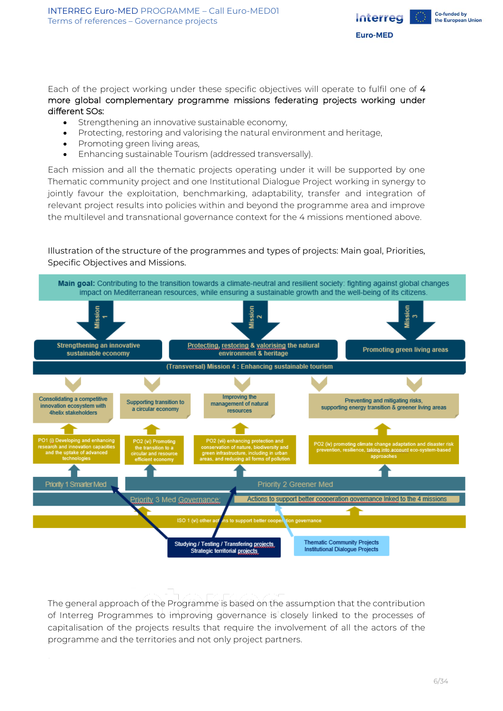

Each of the project working under these specific objectives will operate to fulfil one of 4 more global complementary programme missions federating projects working under different SOs:

- Strengthening an innovative sustainable economy,
- Protecting, restoring and valorising the natural environment and heritage,
- Promoting green living areas,
- Enhancing sustainable Tourism (addressed transversally).

Each mission and all the thematic projects operating under it will be supported by one Thematic community project and one Institutional Dialogue Project working in synergy to jointly favour the exploitation, benchmarking, adaptability, transfer and integration of relevant project results into policies within and beyond the programme area and improve the multilevel and transnational governance context for the 4 missions mentioned above.

Illustration of the structure of the programmes and types of projects: Main goal, Priorities, Specific Objectives and Missions.



The general approach of the Programme is based on the assumption that the contribution of Interreg Programmes to improving governance is closely linked to the processes of capitalisation of the projects results that require the involvement of all the actors of the programme and the territories and not only project partners.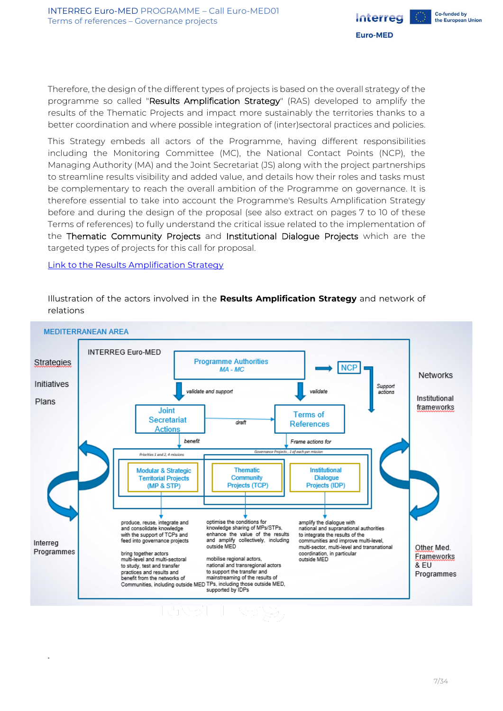

Therefore, the design of the different types of projects is based on the overall strategy of the programme so called "Results Amplification Strategy" (RAS) developed to amplify the results of the Thematic Projects and impact more sustainably the territories thanks to a better coordination and where possible integration of (inter)sectoral practices and policies.

This Strategy embeds all actors of the Programme, having different responsibilities including the Monitoring Committee (MC), the National Contact Points (NCP), the Managing Authority (MA) and the Joint Secretariat (JS) along with the project partnerships to streamline results visibility and added value, and details how their roles and tasks must be complementary to reach the overall ambition of the Programme on governance. It is therefore essential to take into account the Programme's Results Amplification Strategy before and during the design of the proposal (see also extract on pages 7 to 10 of these Terms of references) to fully understand the critical issue related to the implementation of the Thematic Community Projects and Institutional Dialogue Projects which are the targeted types of projects for this call for proposal.

Link [to the Results Amplification Strategy](https://interreg-med.eu/fileadmin/user_upload/Sites/Programme/Explore/What_is_Interreg_Med/Future_programme/Interreg_Euro-MED_Results_Amplification_Strategy.pdf)

7

Illustration of the actors involved in the **Results Amplification Strategy** and network of relations

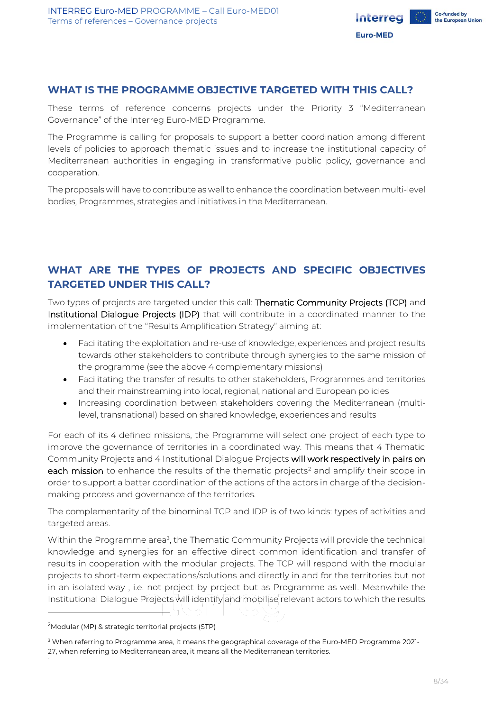

## <span id="page-7-0"></span>**WHAT IS THE PROGRAMME OBJECTIVE TARGETED WITH THIS CALL?**

These terms of reference concerns projects under the Priority 3 "Mediterranean Governance" of the Interreg Euro-MED Programme.

The Programme is calling for proposals to support a better coordination among different levels of policies to approach thematic issues and to increase the institutional capacity of Mediterranean authorities in engaging in transformative public policy, governance and cooperation.

The proposals will have to contribute as well to enhance the coordination between multi-level bodies, Programmes, strategies and initiatives in the Mediterranean.

## <span id="page-7-1"></span>**WHAT ARE THE TYPES OF PROJECTS AND SPECIFIC OBJECTIVES TARGETED UNDER THIS CALL?**

Two types of projects are targeted under this call: Thematic Community Projects (TCP) and Institutional Dialogue Projects (IDP) that will contribute in a coordinated manner to the implementation of the "Results Amplification Strategy" aiming at:

- Facilitating the exploitation and re-use of knowledge, experiences and project results towards other stakeholders to contribute through synergies to the same mission of the programme (see the above 4 complementary missions)
- Facilitating the transfer of results to other stakeholders, Programmes and territories and their mainstreaming into local, regional, national and European policies
- Increasing coordination between stakeholders covering the Mediterranean (multilevel, transnational) based on shared knowledge, experiences and results

For each of its 4 defined missions, the Programme will select one project of each type to improve the governance of territories in a coordinated way. This means that 4 Thematic Community Projects and 4 Institutional Dialogue Projects will work respectively in pairs on each mission to enhance the results of the thematic projects<sup>2</sup> and amplify their scope in order to support a better coordination of the actions of the actors in charge of the decisionmaking process and governance of the territories.

The complementarity of the binominal TCP and IDP is of two kinds: types of activities and targeted areas.

Within the Programme area<sup>3</sup>, the Thematic Community Projects will provide the technical knowledge and synergies for an effective direct common identification and transfer of results in cooperation with the modular projects. The TCP will respond with the modular projects to short-term expectations/solutions and directly in and for the territories but not in an isolated way , i.e. not project by project but as Programme as well. Meanwhile the Institutional Dialogue Projects will identify and mobilise relevant actors to which the results

<sup>&</sup>lt;sup>2</sup>Modular (MP) & strategic territorial projects (STP)

<sup>&</sup>lt;sup>3</sup> When referring to Programme area, it means the geographical coverage of the Euro-MED Programme 2021-27, when referring to Mediterranean area, it means all the Mediterranean territories.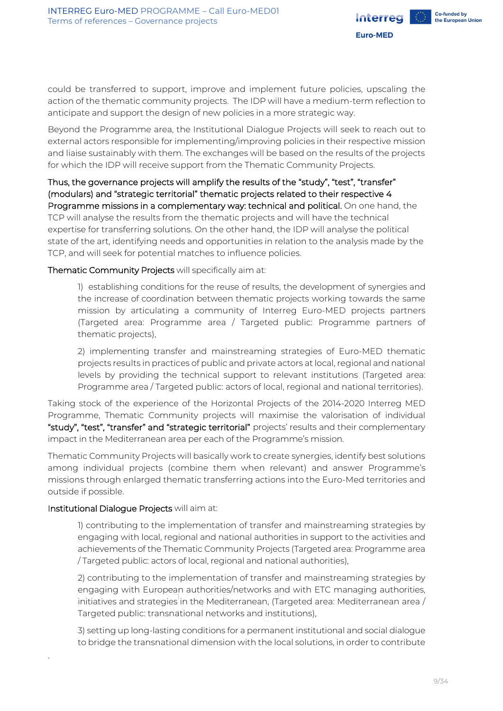

could be transferred to support, improve and implement future policies, upscaling the action of the thematic community projects. The IDP will have a medium-term reflection to anticipate and support the design of new policies in a more strategic way.

Beyond the Programme area, the Institutional Dialogue Projects will seek to reach out to external actors responsible for implementing/improving policies in their respective mission and liaise sustainably with them. The exchanges will be based on the results of the projects for which the IDP will receive support from the Thematic Community Projects.

Thus, the governance projects will amplify the results of the "study", "test", "transfer" (modulars) and "strategic territorial" thematic projects related to their respective 4 Programme missions in a complementary way: technical and political. On one hand, the TCP will analyse the results from the thematic projects and will have the technical expertise for transferring solutions. On the other hand, the IDP will analyse the political state of the art, identifying needs and opportunities in relation to the analysis made by the TCP, and will seek for potential matches to influence policies.

### Thematic Community Projects will specifically aim at:

1) establishing conditions for the reuse of results, the development of synergies and the increase of coordination between thematic projects working towards the same mission by articulating a community of Interreg Euro-MED projects partners (Targeted area: Programme area / Targeted public: Programme partners of thematic projects),

2) implementing transfer and mainstreaming strategies of Euro-MED thematic projects results in practices of public and private actors at local, regional and national levels by providing the technical support to relevant institutions (Targeted area: Programme area / Targeted public: actors of local, regional and national territories).

Taking stock of the experience of the Horizontal Projects of the 2014-2020 Interreg MED Programme, Thematic Community projects will maximise the valorisation of individual "study", "test", "transfer" and "strategic territorial" projects' results and their complementary impact in the Mediterranean area per each of the Programme's mission.

Thematic Community Projects will basically work to create synergies, identify best solutions among individual projects (combine them when relevant) and answer Programme's missions through enlarged thematic transferring actions into the Euro-Med territories and outside if possible.

### Institutional Dialogue Projects will aim at:

9

1) contributing to the implementation of transfer and mainstreaming strategies by engaging with local, regional and national authorities in support to the activities and achievements of the Thematic Community Projects (Targeted area: Programme area / Targeted public: actors of local, regional and national authorities),

2) contributing to the implementation of transfer and mainstreaming strategies by engaging with European authorities/networks and with ETC managing authorities, initiatives and strategies in the Mediterranean, (Targeted area: Mediterranean area / Targeted public: transnational networks and institutions),

3) setting up long-lasting conditions for a permanent institutional and social dialogue to bridge the transnational dimension with the local solutions, in order to contribute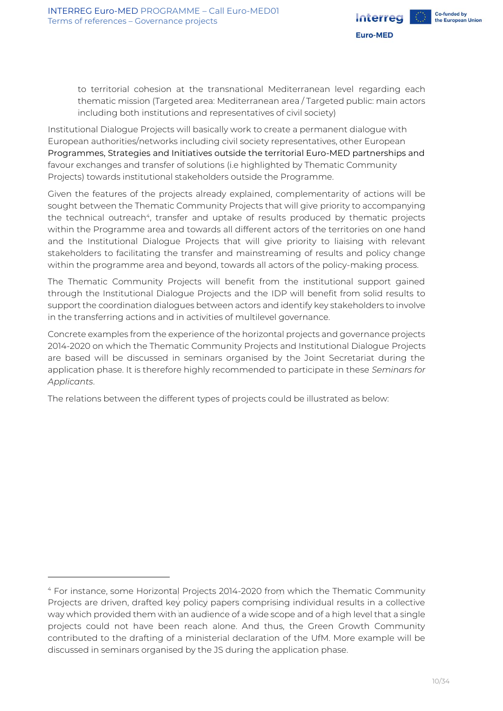

to territorial cohesion at the transnational Mediterranean level regarding each thematic mission (Targeted area: Mediterranean area / Targeted public: main actors including both institutions and representatives of civil society)

Institutional Dialogue Projects will basically work to create a permanent dialogue with European authorities/networks including civil society representatives, other European Programmes, Strategies and Initiatives outside the territorial Euro-MED partnerships and favour exchanges and transfer of solutions (i.e highlighted by Thematic Community Projects) towards institutional stakeholders outside the Programme.

Given the features of the projects already explained, complementarity of actions will be sought between the Thematic Community Projects that will give priority to accompanying the technical outreach<sup>4</sup>, transfer and uptake of results produced by thematic projects within the Programme area and towards all different actors of the territories on one hand and the Institutional Dialogue Projects that will give priority to liaising with relevant stakeholders to facilitating the transfer and mainstreaming of results and policy change within the programme area and beyond, towards all actors of the policy-making process.

The Thematic Community Projects will benefit from the institutional support gained through the Institutional Dialogue Projects and the IDP will benefit from solid results to support the coordination dialogues between actors and identify key stakeholders to involve in the transferring actions and in activities of multilevel governance.

Concrete examples from the experience of the horizontal projects and governance projects 2014-2020 on which the Thematic Community Projects and Institutional Dialogue Projects are based will be discussed in seminars organised by the Joint Secretariat during the application phase. It is therefore highly recommended to participate in these *Seminars for Applicants*.

The relations between the different types of projects could be illustrated as below:

<sup>4</sup> For instance, some Horizontal Projects 2014-2020 from which the Thematic Community Projects are driven, drafted key policy papers comprising individual results in a collective way which provided them with an audience of a wide scope and of a high level that a single projects could not have been reach alone. And thus, the Green Growth Community contributed to the drafting of a ministerial declaration of the UfM. More example will be discussed in seminars organised by the JS during the application phase.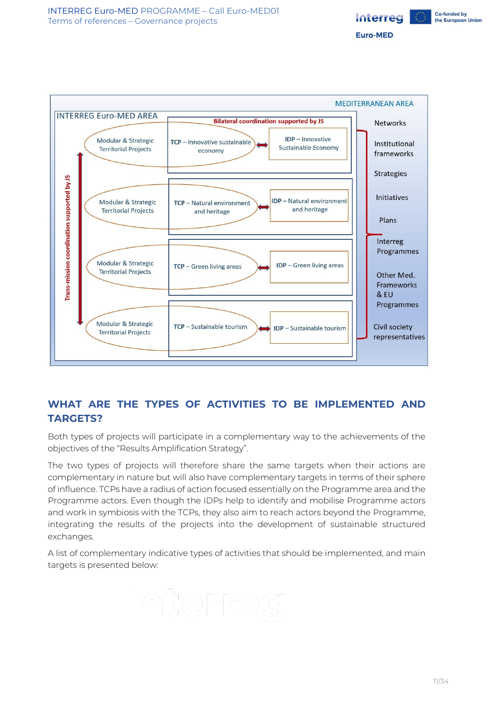



## <span id="page-10-0"></span>**WHAT ARE THE TYPES OF ACTIVITIES TO BE IMPLEMENTED AND TARGETS?**

Both types of projects will participate in a complementary way to the achievements of the objectives of the "Results Amplification Strategy".

The two types of projects will therefore share the same targets when their actions are complementary in nature but will also have complementary targets in terms of their sphere of influence. TCPs have a radius of action focused essentially on the Programme area and the Programme actors. Even though the IDPs help to identify and mobilise Programme actors and work in symbiosis with the TCPs, they also aim to reach actors beyond the Programme, integrating the results of the projects into the development of sustainable structured exchanges.

A list of complementary indicative types of activities that should be implemented, and main targets is presented below: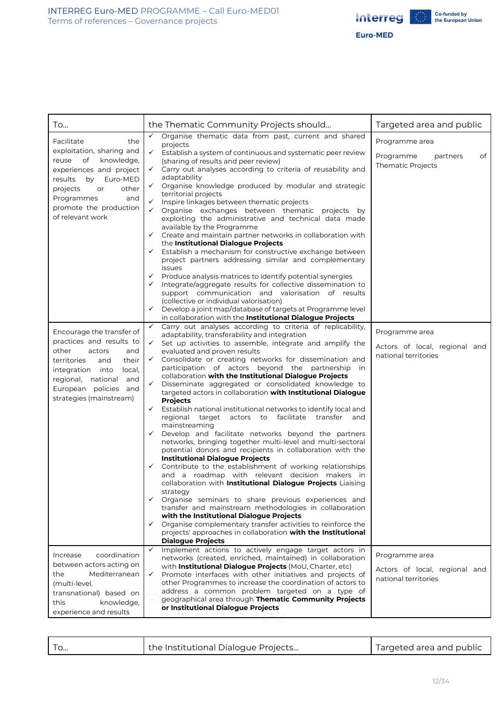

|  | <b>Euro-MED</b> |  |
|--|-----------------|--|
|  |                 |  |
|  |                 |  |

| To                                                                                                          | the Thematic Community Projects should                                                                                                                                                                                                                                                      | Targeted area and public                              |
|-------------------------------------------------------------------------------------------------------------|---------------------------------------------------------------------------------------------------------------------------------------------------------------------------------------------------------------------------------------------------------------------------------------------|-------------------------------------------------------|
| Facilitate<br>the                                                                                           | Organise thematic data from past, current and shared<br>$\checkmark$                                                                                                                                                                                                                        | Programme area                                        |
| exploitation, sharing and<br>of<br>reuse<br>knowledge,<br>experiences and project<br>by Euro-MED<br>results | projects<br>Establish a system of continuous and systematic peer review<br>$\checkmark$<br>(sharing of results and peer review)<br>Carry out analyses according to criteria of reusability and<br>✓<br>adaptability<br>Organise knowledge produced by modular and strategic<br>$\checkmark$ | Programme<br>of<br>partners<br>Thematic Projects      |
| projects<br>other<br>or<br>Programmes<br>and                                                                | territorial projects                                                                                                                                                                                                                                                                        |                                                       |
| promote the production<br>of relevant work                                                                  | Inspire linkages between thematic projects<br>✓<br>$\checkmark$<br>Organise exchanges between thematic projects by<br>exploiting the administrative and technical data made<br>available by the Programme                                                                                   |                                                       |
|                                                                                                             | $\checkmark$ Create and maintain partner networks in collaboration with                                                                                                                                                                                                                     |                                                       |
|                                                                                                             | the Institutional Dialogue Projects<br>Establish a mechanism for constructive exchange between<br>$\checkmark$<br>project partners addressing similar and complementary<br>issues                                                                                                           |                                                       |
|                                                                                                             | $\checkmark$ Produce analysis matrices to identify potential synergies<br>Integrate/aggregate results for collective dissemination to<br>✓<br>support communication and valorisation of results<br>(collective or individual valorisation)                                                  |                                                       |
|                                                                                                             | Develop a joint map/database of targets at Programme level<br>✓                                                                                                                                                                                                                             |                                                       |
| Encourage the transfer of                                                                                   | in collaboration with the Institutional Dialogue Projects<br>$\checkmark$<br>Carry out analyses according to criteria of replicability,                                                                                                                                                     | Programme area                                        |
| practices and results to                                                                                    | adaptability, transferability and integration<br>$\checkmark$<br>Set up activities to assemble, integrate and amplify the                                                                                                                                                                   |                                                       |
| other<br>actors<br>and                                                                                      | evaluated and proven results                                                                                                                                                                                                                                                                | Actors of local, regional and<br>national territories |
| their<br>territories<br>and<br>integration<br>into<br>local,                                                | Consolidate or creating networks for dissemination and<br>$\checkmark$<br>participation of actors beyond the partnership in                                                                                                                                                                 |                                                       |
| regional, national<br>and                                                                                   | collaboration with the Institutional Dialogue Projects<br>Disseminate aggregated or consolidated knowledge to<br>$\checkmark$                                                                                                                                                               |                                                       |
| European policies and<br>strategies (mainstream)                                                            | targeted actors in collaboration with Institutional Dialogue                                                                                                                                                                                                                                |                                                       |
|                                                                                                             | <b>Projects</b><br>$\checkmark$<br>Establish national institutional networks to identify local and<br>actors to facilitate transfer and<br>regional target                                                                                                                                  |                                                       |
|                                                                                                             | mainstreaming                                                                                                                                                                                                                                                                               |                                                       |
|                                                                                                             | Develop and facilitate networks beyond the partners<br>$\checkmark$<br>networks, bringing together multi-level and multi-sectoral<br>potential donors and recipients in collaboration with the<br><b>Institutional Dialogue Projects</b>                                                    |                                                       |
|                                                                                                             | $\checkmark$ Contribute to the establishment of working relationships<br>and a roadmap with relevant decision makers in                                                                                                                                                                     |                                                       |
|                                                                                                             | collaboration with Institutional Dialogue Projects Liaising<br>strategy                                                                                                                                                                                                                     |                                                       |
|                                                                                                             | $\checkmark$ Organise seminars to share previous experiences and<br>transfer and mainstream methodologies in collaboration                                                                                                                                                                  |                                                       |
|                                                                                                             | with the Institutional Dialogue Projects                                                                                                                                                                                                                                                    |                                                       |
|                                                                                                             | $\checkmark$ Organise complementary transfer activities to reinforce the<br>projects' approaches in collaboration with the Institutional                                                                                                                                                    |                                                       |
|                                                                                                             | <b>Dialogue Projects</b>                                                                                                                                                                                                                                                                    |                                                       |
| coordination<br>Increase                                                                                    | $\checkmark$<br>Implement actions to actively engage target actors in<br>networks (created, enriched, maintained) in collaboration                                                                                                                                                          | Programme area                                        |
| between actors acting on<br>Mediterranean<br>the                                                            | with Institutional Dialogue Projects (MoU, Charter, etc)<br>✓                                                                                                                                                                                                                               | Actors of local, regional and                         |
| (multi-level,                                                                                               | Promote interfaces with other initiatives and projects of<br>other Programmes to increase the coordination of actors to                                                                                                                                                                     | national territories                                  |
| transnational) based on                                                                                     | address a common problem targeted on a type of                                                                                                                                                                                                                                              |                                                       |
| this<br>knowledge,                                                                                          | geographical area through Thematic Community Projects<br>or Institutional Dialogue Projects                                                                                                                                                                                                 |                                                       |
| experience and results                                                                                      |                                                                                                                                                                                                                                                                                             |                                                       |

| the Institutional Dialogue Projects | Targeted area and public |
|-------------------------------------|--------------------------|
|                                     |                          |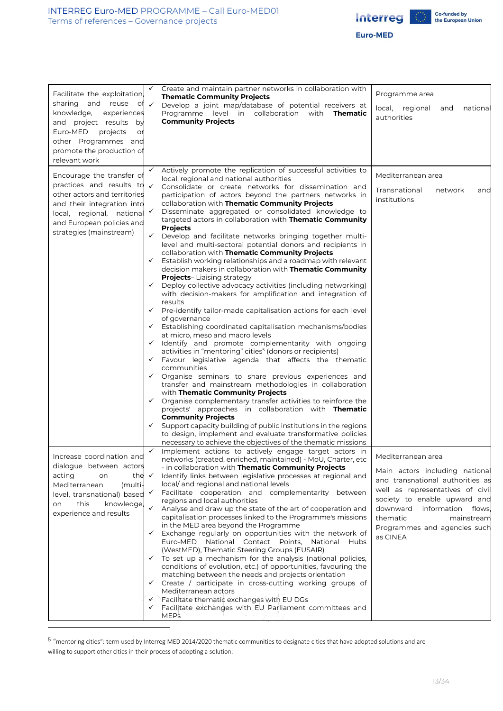

| Facilitate the exploitation,<br>sharing<br>and reuse<br>Оt<br>knowledge,<br>experiences<br>and project results<br>by<br>Euro-MED<br>projects<br>or<br>other Programmes and<br>promote the production of<br>relevant work | $\checkmark$                                                                          | Create and maintain partner networks in collaboration with<br><b>Thematic Community Projects</b><br>Develop a joint map/database of potential receivers at<br>Programme level in collaboration<br>with<br><b>Thematic</b><br><b>Community Projects</b>                                                                                                                                                                                                                                                                                                                                                                                                                                                                                                                                                                                                                                                                                                                                                                                                                                                                                                                                                                                                                                                                                                                                                                                                                                                                                                                                                                               | Programme area<br>local, regional<br>national<br>and<br>authorities                                                                                                                                                                                                  |
|--------------------------------------------------------------------------------------------------------------------------------------------------------------------------------------------------------------------------|---------------------------------------------------------------------------------------|--------------------------------------------------------------------------------------------------------------------------------------------------------------------------------------------------------------------------------------------------------------------------------------------------------------------------------------------------------------------------------------------------------------------------------------------------------------------------------------------------------------------------------------------------------------------------------------------------------------------------------------------------------------------------------------------------------------------------------------------------------------------------------------------------------------------------------------------------------------------------------------------------------------------------------------------------------------------------------------------------------------------------------------------------------------------------------------------------------------------------------------------------------------------------------------------------------------------------------------------------------------------------------------------------------------------------------------------------------------------------------------------------------------------------------------------------------------------------------------------------------------------------------------------------------------------------------------------------------------------------------------|----------------------------------------------------------------------------------------------------------------------------------------------------------------------------------------------------------------------------------------------------------------------|
|                                                                                                                                                                                                                          | $\checkmark$                                                                          | Actively promote the replication of successful activities to                                                                                                                                                                                                                                                                                                                                                                                                                                                                                                                                                                                                                                                                                                                                                                                                                                                                                                                                                                                                                                                                                                                                                                                                                                                                                                                                                                                                                                                                                                                                                                         |                                                                                                                                                                                                                                                                      |
| Encourage the transfer of<br>practices and results to<br>other actors and territories<br>and their integration into<br>local, regional, nationa<br>and European policies and<br>strategies (mainstream)                  | $\checkmark$<br>✓<br>✓<br>✓<br>✓<br>✓<br>$\checkmark$<br>✓<br>✓<br>✓<br>✓             | local, regional and national authorities<br>Consolidate or create networks for dissemination and<br>participation of actors beyond the partners networks in<br>collaboration with Thematic Community Projects<br>Disseminate aggregated or consolidated knowledge to<br>targeted actors in collaboration with Thematic Community<br><b>Projects</b><br>Develop and facilitate networks bringing together multi-<br>level and multi-sectoral potential donors and recipients in<br>collaboration with Thematic Community Projects<br>Establish working relationships and a roadmap with relevant<br>decision makers in collaboration with <b>Thematic Community</b><br><b>Projects-Liaising strategy</b><br>Deploy collective advocacy activities (including networking)<br>with decision-makers for amplification and integration of<br>results<br>Pre-identify tailor-made capitalisation actions for each level<br>of governance<br>Establishing coordinated capitalisation mechanisms/bodies<br>at micro, meso and macro levels<br>Identify and promote complementarity with ongoing<br>activities in "mentoring" cities <sup>5</sup> (donors or recipients)<br>Favour legislative agenda that affects the thematic<br>communities<br>$\checkmark$ Organise seminars to share previous experiences and<br>transfer and mainstream methodologies in collaboration<br>with Thematic Community Projects<br>Organise complementary transfer activities to reinforce the<br>projects' approaches in collaboration with <b>Thematic</b><br><b>Community Projects</b><br>Support capacity building of public institutions in the regions | Mediterranean area<br>Transnational<br>network<br>and<br>institutions                                                                                                                                                                                                |
|                                                                                                                                                                                                                          |                                                                                       | to design, implement and evaluate transformative policies                                                                                                                                                                                                                                                                                                                                                                                                                                                                                                                                                                                                                                                                                                                                                                                                                                                                                                                                                                                                                                                                                                                                                                                                                                                                                                                                                                                                                                                                                                                                                                            |                                                                                                                                                                                                                                                                      |
| Increase coordination and<br>dialogue between actors<br>acting<br>the<br>on<br>Mediterranean<br>(multi-<br>level, transnational) based<br>this<br>knowledge,<br>on<br>experience and results                             | $\checkmark$<br>$\checkmark$<br>✓<br>$\checkmark$<br>$\checkmark$<br>✓<br>✓<br>✓<br>✓ | necessary to achieve the objectives of the thematic missions<br>Implement actions to actively engage target actors in<br>networks (created, enriched, maintained) - MoU, Charter, etc<br>- in collaboration with Thematic Community Projects<br>Identify links between legislative processes at regional and<br>local/ and regional and national levels<br>Facilitate cooperation and complementarity between<br>regions and local authorities<br>Analyse and draw up the state of the art of cooperation and<br>capitalisation processes linked to the Programme's missions<br>in the MED area beyond the Programme<br>Exchange regularly on opportunities with the network of<br>Euro-MED National Contact Points,<br>National Hubs<br>(WestMED), Thematic Steering Groups (EUSAIR)<br>To set up a mechanism for the analysis (national policies,<br>conditions of evolution, etc.) of opportunities, favouring the<br>matching between the needs and projects orientation<br>Create / participate in cross-cutting working groups of<br>Mediterranean actors<br>Facilitate thematic exchanges with EU DGs<br>Facilitate exchanges with EU Parliament committees and<br><b>MEPs</b>                                                                                                                                                                                                                                                                                                                                                                                                                                                | Mediterranean area<br>Main actors including national<br>and transnational authorities as<br>well as representatives of civil<br>society to enable upward and<br>information flows,<br>downward<br>thematic<br>mainstream<br>Programmes and agencies such<br>as CINEA |

5 "mentoring cities": term used by Interreg MED 2014/2020 thematic communities to designate cities that have adopted solutions and are willing to support other cities in their process of adopting a solution.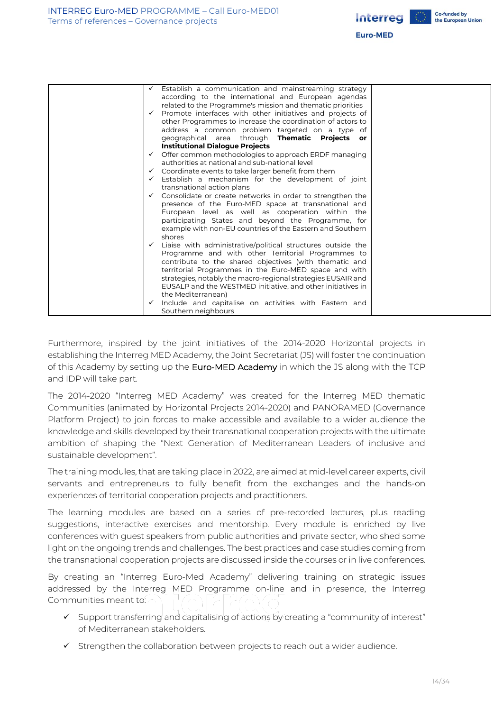

|              | Establish a communication and mainstreaming strategy                   |  |
|--------------|------------------------------------------------------------------------|--|
|              | according to the international and European agendas                    |  |
|              | related to the Programme's mission and thematic priorities             |  |
| ✓            | Promote interfaces with other initiatives and projects of              |  |
|              | other Programmes to increase the coordination of actors to             |  |
|              | address a common problem targeted on a type of                         |  |
|              | geographical area through Thematic Projects or                         |  |
|              | <b>Institutional Dialogue Projects</b>                                 |  |
| $\checkmark$ | Offer common methodologies to approach ERDF managing                   |  |
|              | authorities at national and sub-national level                         |  |
|              | $\checkmark$ Coordinate events to take larger benefit from them        |  |
| $\checkmark$ | Establish a mechanism for the development of joint                     |  |
|              | transnational action plans                                             |  |
|              | $\checkmark$ Consolidate or create networks in order to strengthen the |  |
|              | presence of the Euro-MED space at transnational and                    |  |
|              | European level as well as cooperation within the                       |  |
|              | participating States and beyond the Programme, for                     |  |
|              | example with non-EU countries of the Eastern and Southern              |  |
|              | shores                                                                 |  |
|              | Liaise with administrative/political structures outside the            |  |
|              | Programme and with other Territorial Programmes to                     |  |
|              | contribute to the shared objectives (with thematic and                 |  |
|              | territorial Programmes in the Euro-MED space and with                  |  |
|              | strategies, notably the macro-regional strategies EUSAIR and           |  |
|              | EUSALP and the WESTMED initiative, and other initiatives in            |  |
|              | the Mediterranean)                                                     |  |
|              | Include and capitalise on activities with Eastern and                  |  |
|              | Southern neighbours                                                    |  |
|              |                                                                        |  |

Furthermore, inspired by the joint initiatives of the 2014-2020 Horizontal projects in establishing the Interreg MED Academy, the Joint Secretariat (JS) will foster the continuation of this Academy by setting up the Euro-MED Academy in which the JS along with the TCP and IDP will take part.

The 2014-2020 "Interreg MED Academy" was created for the Interreg MED thematic Communities (animated by Horizontal Projects 2014-2020) and PANORAMED (Governance Platform Project) to join forces to make accessible and available to a wider audience the knowledge and skills developed by their transnational cooperation projects with the ultimate ambition of shaping the "Next Generation of Mediterranean Leaders of inclusive and sustainable development".

The training modules, that are taking place in 2022, are aimed at mid-level career experts, civil servants and entrepreneurs to fully benefit from the exchanges and the hands-on experiences of territorial cooperation projects and practitioners.

The learning modules are based on a series of pre-recorded lectures, plus reading suggestions, interactive exercises and mentorship. Every module is enriched by live conferences with guest speakers from public authorities and private sector, who shed some light on the ongoing trends and challenges. The best practices and case studies coming from the transnational cooperation projects are discussed inside the courses or in live conferences.

By creating an "Interreg Euro-Med Academy" delivering training on strategic issues addressed by the Interreg MED Programme on-line and in presence, the Interreg Communities meant to:

- ✓ Support transferring and capitalising of actions by creating a "community of interest" of Mediterranean stakeholders.
- ✓ Strengthen the collaboration between projects to reach out a wider audience.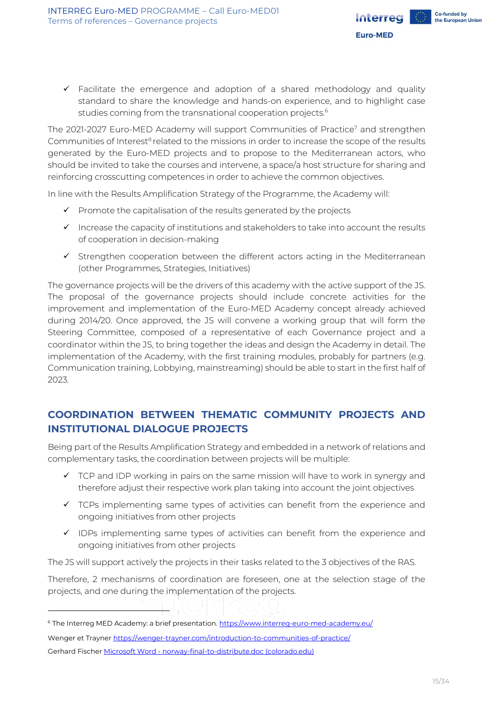

 $\checkmark$  Facilitate the emergence and adoption of a shared methodology and quality standard to share the knowledge and hands-on experience, and to highlight case studies coming from the transnational cooperation projects.<sup>6</sup>

The 2021-2027 Euro-MED Academy will support Communities of Practice<sup>7</sup> and strengthen Communities of Interest<sup>8</sup> related to the missions in order to increase the scope of the results generated by the Euro-MED projects and to propose to the Mediterranean actors, who should be invited to take the courses and intervene, a space/a host structure for sharing and reinforcing crosscutting competences in order to achieve the common objectives.

In line with the Results Amplification Strategy of the Programme, the Academy will:

- ✓ Promote the capitalisation of the results generated by the projects
- $\checkmark$  Increase the capacity of institutions and stakeholders to take into account the results of cooperation in decision-making
- ✓ Strengthen cooperation between the different actors acting in the Mediterranean (other Programmes, Strategies, Initiatives)

The governance projects will be the drivers of this academy with the active support of the JS. The proposal of the governance projects should include concrete activities for the improvement and implementation of the Euro-MED Academy concept already achieved during 2014/20. Once approved, the JS will convene a working group that will form the Steering Committee, composed of a representative of each Governance project and a coordinator within the JS, to bring together the ideas and design the Academy in detail. The implementation of the Academy, with the first training modules, probably for partners (e.g. Communication training, Lobbying, mainstreaming) should be able to start in the first half of 2023.

## <span id="page-14-0"></span>**COORDINATION BETWEEN THEMATIC COMMUNITY PROJECTS AND INSTITUTIONAL DIALOGUE PROJECTS**

Being part of the Results Amplification Strategy and embedded in a network of relations and complementary tasks, the coordination between projects will be multiple:

- $\checkmark$  TCP and IDP working in pairs on the same mission will have to work in synergy and therefore adjust their respective work plan taking into account the joint objectives
- $\checkmark$  TCPs implementing same types of activities can benefit from the experience and ongoing initiatives from other projects
- $\checkmark$  IDPs implementing same types of activities can benefit from the experience and ongoing initiatives from other projects

The JS will support actively the projects in their tasks related to the 3 objectives of the RAS.

Therefore, 2 mechanisms of coordination are foreseen, one at the selection stage of the projects, and one during the implementation of the projects.

<sup>&</sup>lt;sup>6</sup> The Interreg MED Academy: a brief presentation. <https://www.interreg-euro-med-academy.eu/>

Wenger et Trayner <https://wenger-trayner.com/introduction-to-communities-of-practice/> Gerhard Fischer Microsoft Word - [norway-final-to-distribute.doc \(colorado.edu\)](http://l3d.cs.colorado.edu/~gerhard/papers/iris24.pdf)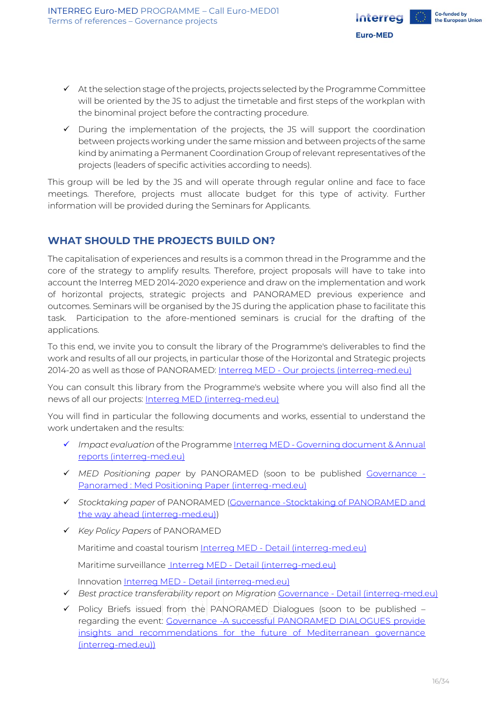

- $\checkmark$  At the selection stage of the projects, projects selected by the Programme Committee will be oriented by the JS to adjust the timetable and first steps of the workplan with the binominal project before the contracting procedure.
- $\checkmark$  During the implementation of the projects, the JS will support the coordination between projects working under the same mission and between projects of the same kind by animating a Permanent Coordination Group of relevant representatives of the projects (leaders of specific activities according to needs).

This group will be led by the JS and will operate through regular online and face to face meetings. Therefore, projects must allocate budget for this type of activity. Further information will be provided during the Seminars for Applicants.

## <span id="page-15-0"></span>**WHAT SHOULD THE PROJECTS BUILD ON?**

The capitalisation of experiences and results is a common thread in the Programme and the core of the strategy to amplify results. Therefore, project proposals will have to take into account the Interreg MED 2014-2020 experience and draw on the implementation and work of horizontal projects, strategic projects and PANORAMED previous experience and outcomes. Seminars will be organised by the JS during the application phase to facilitate this task. Participation to the afore-mentioned seminars is crucial for the drafting of the applications.

To this end, we invite you to consult the library of the Programme's deliverables to find the work and results of all our projects, in particular those of the Horizontal and Strategic projects 2014-20 as well as those of PANORAMED: Interreg MED - [Our projects \(interreg-med.eu\)](https://interreg-med.eu/projects-results/our-projects/)

You can consult this library from the Programme's website where you will also find all the news of all our projects: [Interreg MED \(interreg-med.eu\)](https://interreg-med.eu/)

You will find in particular the following documents and works, essential to understand the work undertaken and the results:

- ✓ *Impact evaluation* of the Programme Interreg MED [Governing document & Annual](https://interreg-med.eu/documents-tools/governing-document-annual-reports/)  [reports \(interreg-med.eu\)](https://interreg-med.eu/documents-tools/governing-document-annual-reports/)
- ✓ *MED Positioning paper* by PANORAMED (soon to be published [Governance -](https://governance.interreg-med.eu/no-cache/fr/news-events-french/news-french/detail-french/actualites/panoramed-med-positioning-paper/) [Panoramed : Med Positioning Paper \(interreg-med.eu\)](https://governance.interreg-med.eu/no-cache/fr/news-events-french/news-french/detail-french/actualites/panoramed-med-positioning-paper/)
- ✓ *Stocktaking paper* of PANORAMED [\(Governance -Stocktaking of PANORAMED and](https://governance.interreg-med.eu/no-cache/news-events/news/detail/actualites/stocktaking-of-panoramed-and-the-way-ahead/)  [the way ahead \(interreg-med.eu\)\)](https://governance.interreg-med.eu/no-cache/news-events/news/detail/actualites/stocktaking-of-panoramed-and-the-way-ahead/)
- ✓ *Key Policy Papers* of PANORAMED

Maritime and coastal tourism Interreg MED - [Detail \(interreg-med.eu\)](https://interreg-med.eu/projects-results/our-project-results/detail/?tx_elibrary_pi1%5Blivrable%5D=11360&tx_elibrary_pi1%5Baction%5D=show&tx_elibrary_pi1%5Bcontroller%5D=Frontend%5CLivrable&cHash=b47ba207a1bb94ee4eaa8a8853f3112b)

Maritime surveillance Interreg MED - [Detail \(interreg-med.eu\)](https://interreg-med.eu/projects-results/our-project-results/detail/?tx_elibrary_pi1%5Blivrable%5D=11023&tx_elibrary_pi1%5Baction%5D=show&tx_elibrary_pi1%5Bcontroller%5D=Frontend%5CLivrable&cHash=5de905270d0bddaf1cc2e74c305c541d)

Innovation Interreg MED - [Detail \(interreg-med.eu\)](https://interreg-med.eu/projects-results/our-project-results/detail/?tx_elibrary_pi1%5Blivrable%5D=10524&tx_elibrary_pi1%5Baction%5D=show&tx_elibrary_pi1%5Bcontroller%5D=Frontend%5CLivrable&cHash=31b0eb9c01a7c22bca9f6a5cf07871df)

- ✓ *Best practice transferability report on Migration* Governance [Detail \(interreg-med.eu\)](https://governance.interreg-med.eu/what-we-achieve/deliverables-database/detail/?tx_elibrary_pi1%5Blivrable%5D=10525&tx_elibrary_pi1%5Baction%5D=show&tx_elibrary_pi1%5Bcontroller%5D=Frontend%5CLivrable&cHash=bbe879576d3f9900727309189b737970)
- $\checkmark$  Policy Briefs issued from the PANORAMED Dialogues (soon to be published regarding the event: [Governance -A successful PANORAMED DIALOGUES provide](https://governance.interreg-med.eu/no-cache/en/news-events/news/detail/actualites/a-successful-panoramed-dialogues-provide-insights-and-recommendations-for-the-future-of-mediterranea/)  [insights and recommendations for the future of Mediterranean governance](https://governance.interreg-med.eu/no-cache/en/news-events/news/detail/actualites/a-successful-panoramed-dialogues-provide-insights-and-recommendations-for-the-future-of-mediterranea/)  [\(interreg-med.eu\)\)](https://governance.interreg-med.eu/no-cache/en/news-events/news/detail/actualites/a-successful-panoramed-dialogues-provide-insights-and-recommendations-for-the-future-of-mediterranea/)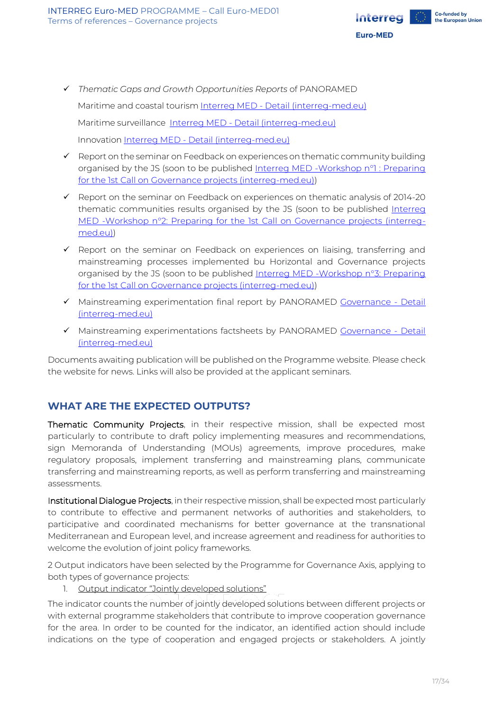

- ✓ *Thematic Gaps and Growth Opportunities Reports* of PANORAMED Maritime and coastal tourism Interreg MED - Detail [\(interreg-med.eu\)](https://interreg-med.eu/projects-results/our-project-results/detail/?tx_elibrary_pi1%5Blivrable%5D=8529&tx_elibrary_pi1%5Baction%5D=show&tx_elibrary_pi1%5Bcontroller%5D=Frontend%5CLivrable&cHash=dca06d823eb0f849452b1e43dbfeb30f) Maritime surveillance Interreg MED - [Detail \(interreg-med.eu\)](https://interreg-med.eu/projects-results/our-project-results/detail/?tx_elibrary_pi1%5Blivrable%5D=8530&tx_elibrary_pi1%5Baction%5D=show&tx_elibrary_pi1%5Bcontroller%5D=Frontend%5CLivrable&cHash=b31ab98a6a44602df0559a87bbc8424b) Innovation Interreg MED - [Detail \(interreg-med.eu\)](https://interreg-med.eu/projects-results/our-project-results/detail/?tx_elibrary_pi1%5Blivrable%5D=9625&tx_elibrary_pi1%5Baction%5D=show&tx_elibrary_pi1%5Bcontroller%5D=Frontend%5CLivrable&cHash=c3aff33f422efc31876fe61c616bb2a4)
- $\checkmark$  Report on the seminar on Feedback on experiences on thematic community building organised by the JS (soon to be published Interreg MED - Workshop n°1 : Preparing [for the 1st Call on Governance projects \(interreg-med.eu\)\)](https://interreg-med.eu/no-cache/news-events/events/detail/actualites/workshop-n1-preparing-for-the-1st-call-on-governance-projects/)
- $\checkmark$  Report on the seminar on Feedback on experiences on thematic analysis of 2014-20 thematic communities results organised by the JS (soon to be published [Interreg](https://interreg-med.eu/no-cache/news-events/events/detail/actualites/workshop-n2-preparing-for-the-1st-call-on-governance-projects/)  [MED -Workshop n°2: Preparing for the 1st Call on Governance projects \(interreg](https://interreg-med.eu/no-cache/news-events/events/detail/actualites/workshop-n2-preparing-for-the-1st-call-on-governance-projects/)[med.eu\)\)](https://interreg-med.eu/no-cache/news-events/events/detail/actualites/workshop-n2-preparing-for-the-1st-call-on-governance-projects/)
- ✓ Report on the seminar on Feedback on experiences on liaising, transferring and mainstreaming processes implemented bu Horizontal and Governance projects organised by the JS (soon to be published [Interreg MED -Workshop n°3: Preparing](https://interreg-med.eu/no-cache/news-events/events/detail/actualites/workshop-n3-preparing-for-the-1st-call-on-governance-projects/)  [for the 1st Call on Governance projects \(interreg-med.eu\)\)](https://interreg-med.eu/no-cache/news-events/events/detail/actualites/workshop-n3-preparing-for-the-1st-call-on-governance-projects/)
- ✓ Mainstreaming experimentation final report by PANORAMED [Governance -](https://governance.interreg-med.eu/what-we-achieve/deliverables-database/detail/?tx_elibrary_pi1%5Blivrable%5D=10521&tx_elibrary_pi1%5Baction%5D=show&tx_elibrary_pi1%5Bcontroller%5D=Frontend%5CLivrable&cHash=16613c7ab9b5120c3d9f018accc22a26) Detail [\(interreg-med.eu\)](https://governance.interreg-med.eu/what-we-achieve/deliverables-database/detail/?tx_elibrary_pi1%5Blivrable%5D=10521&tx_elibrary_pi1%5Baction%5D=show&tx_elibrary_pi1%5Bcontroller%5D=Frontend%5CLivrable&cHash=16613c7ab9b5120c3d9f018accc22a26)
- ✓ Mainstreaming experimentations factsheets by PANORAMED [Governance -](https://governance.interreg-med.eu/what-we-achieve/deliverables-database/detail/?tx_elibrary_pi1%5Blivrable%5D=10523&tx_elibrary_pi1%5Baction%5D=show&tx_elibrary_pi1%5Bcontroller%5D=Frontend%5CLivrable&cHash=d21e4a533d35e8f175a8bb491082233d) Detail [\(interreg-med.eu\)](https://governance.interreg-med.eu/what-we-achieve/deliverables-database/detail/?tx_elibrary_pi1%5Blivrable%5D=10523&tx_elibrary_pi1%5Baction%5D=show&tx_elibrary_pi1%5Bcontroller%5D=Frontend%5CLivrable&cHash=d21e4a533d35e8f175a8bb491082233d)

Documents awaiting publication will be published on the Programme website. Please check the website for news. Links will also be provided at the applicant seminars.

## <span id="page-16-0"></span>**WHAT ARE THE EXPECTED OUTPUTS?**

Thematic Community Projects, in their respective mission, shall be expected most particularly to contribute to draft policy implementing measures and recommendations, sign Memoranda of Understanding (MOUs) agreements, improve procedures, make regulatory proposals, implement transferring and mainstreaming plans, communicate transferring and mainstreaming reports, as well as perform transferring and mainstreaming assessments.

Institutional Dialogue Projects, in their respective mission, shall be expected most particularly to contribute to effective and permanent networks of authorities and stakeholders, to participative and coordinated mechanisms for better governance at the transnational Mediterranean and European level, and increase agreement and readiness for authorities to welcome the evolution of joint policy frameworks.

2 Output indicators have been selected by the Programme for Governance Axis, applying to both types of governance projects:

1. Output indicator "Jointly developed solutions"

The indicator counts the number of jointly developed solutions between different projects or with external programme stakeholders that contribute to improve cooperation governance for the area. In order to be counted for the indicator, an identified action should include indications on the type of cooperation and engaged projects or stakeholders. A jointly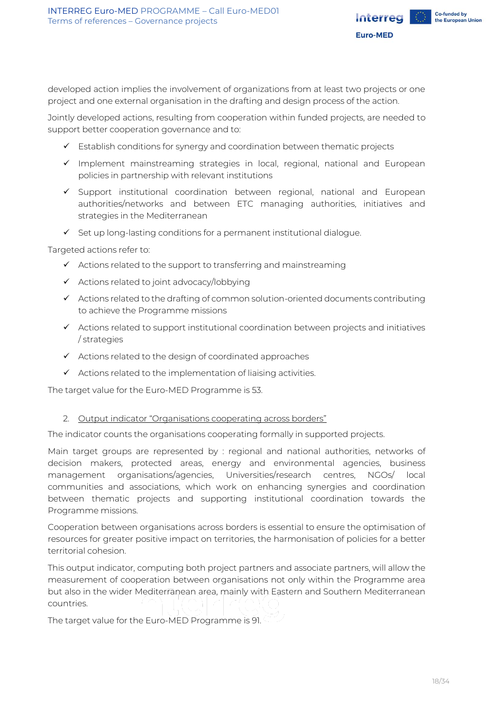

developed action implies the involvement of organizations from at least two projects or one project and one external organisation in the drafting and design process of the action.

Jointly developed actions, resulting from cooperation within funded projects, are needed to support better cooperation governance and to:

- ✓ Establish conditions for synergy and coordination between thematic projects
- ✓ Implement mainstreaming strategies in local, regional, national and European policies in partnership with relevant institutions
- ✓ Support institutional coordination between regional, national and European authorities/networks and between ETC managing authorities, initiatives and strategies in the Mediterranean
- $\checkmark$  Set up long-lasting conditions for a permanent institutional dialogue.

Targeted actions refer to:

- $\checkmark$  Actions related to the support to transferring and mainstreaming
- ✓ Actions related to joint advocacy/lobbying
- $\checkmark$  Actions related to the drafting of common solution-oriented documents contributing to achieve the Programme missions
- ✓ Actions related to support institutional coordination between projects and initiatives / strategies
- $\checkmark$  Actions related to the design of coordinated approaches
- $\checkmark$  Actions related to the implementation of liaising activities.

The target value for the Euro-MED Programme is 53.

#### 2. Output indicator "Organisations cooperating across borders"

The indicator counts the organisations cooperating formally in supported projects.

Main target groups are represented by : regional and national authorities, networks of decision makers, protected areas, energy and environmental agencies, business management organisations/agencies, Universities/research centres, NGOs/ local communities and associations, which work on enhancing synergies and coordination between thematic projects and supporting institutional coordination towards the Programme missions.

Cooperation between organisations across borders is essential to ensure the optimisation of resources for greater positive impact on territories, the harmonisation of policies for a better territorial cohesion.

This output indicator, computing both project partners and associate partners, will allow the measurement of cooperation between organisations not only within the Programme area but also in the wider Mediterranean area, mainly with Eastern and Southern Mediterranean countries.

The target value for the Euro-MED Programme is 91.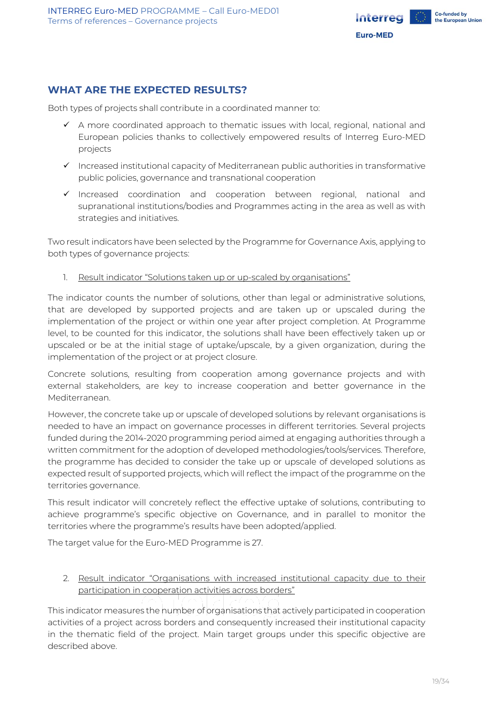

## <span id="page-18-0"></span>**WHAT ARE THE EXPECTED RESULTS?**

Both types of projects shall contribute in a coordinated manner to:

- $\checkmark$  A more coordinated approach to thematic issues with local, regional, national and European policies thanks to collectively empowered results of Interreg Euro-MED projects
- $\checkmark$  Increased institutional capacity of Mediterranean public authorities in transformative public policies, governance and transnational cooperation
- ✓ Increased coordination and cooperation between regional, national and supranational institutions/bodies and Programmes acting in the area as well as with strategies and initiatives.

Two result indicators have been selected by the Programme for Governance Axis, applying to both types of governance projects:

1. Result indicator "Solutions taken up or up-scaled by organisations"

The indicator counts the number of solutions, other than legal or administrative solutions, that are developed by supported projects and are taken up or upscaled during the implementation of the project or within one year after project completion. At Programme level, to be counted for this indicator, the solutions shall have been effectively taken up or upscaled or be at the initial stage of uptake/upscale, by a given organization, during the implementation of the project or at project closure.

Concrete solutions, resulting from cooperation among governance projects and with external stakeholders, are key to increase cooperation and better governance in the Mediterranean.

However, the concrete take up or upscale of developed solutions by relevant organisations is needed to have an impact on governance processes in different territories. Several projects funded during the 2014-2020 programming period aimed at engaging authorities through a written commitment for the adoption of developed methodologies/tools/services. Therefore, the programme has decided to consider the take up or upscale of developed solutions as expected result of supported projects, which will reflect the impact of the programme on the territories governance.

This result indicator will concretely reflect the effective uptake of solutions, contributing to achieve programme's specific objective on Governance, and in parallel to monitor the territories where the programme's results have been adopted/applied.

The target value for the Euro-MED Programme is 27.

2. Result indicator "Organisations with increased institutional capacity due to their participation in cooperation activities across borders"

This indicator measures the number of organisations that actively participated in cooperation activities of a project across borders and consequently increased their institutional capacity in the thematic field of the project. Main target groups under this specific objective are described above.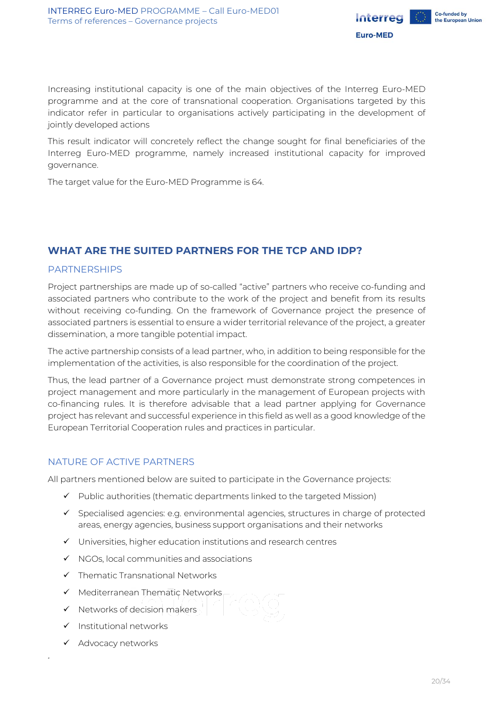

Increasing institutional capacity is one of the main objectives of the Interreg Euro-MED programme and at the core of transnational cooperation. Organisations targeted by this indicator refer in particular to organisations actively participating in the development of jointly developed actions

This result indicator will concretely reflect the change sought for final beneficiaries of the Interreg Euro-MED programme, namely increased institutional capacity for improved governance.

The target value for the Euro-MED Programme is 64.

## <span id="page-19-0"></span>**WHAT ARE THE SUITED PARTNERS FOR THE TCP AND IDP?**

## <span id="page-19-1"></span>PARTNERSHIPS

Project partnerships are made up of so-called "active" partners who receive co-funding and associated partners who contribute to the work of the project and benefit from its results without receiving co-funding. On the framework of Governance project the presence of associated partners is essential to ensure a wider territorial relevance of the project, a greater dissemination, a more tangible potential impact.

The active partnership consists of a lead partner, who, in addition to being responsible for the implementation of the activities, is also responsible for the coordination of the project.

Thus, the lead partner of a Governance project must demonstrate strong competences in project management and more particularly in the management of European projects with co-financing rules. It is therefore advisable that a lead partner applying for Governance project has relevant and successful experience in this field as well as a good knowledge of the European Territorial Cooperation rules and practices in particular.

## <span id="page-19-2"></span>NATURE OF ACTIVE PARTNERS

All partners mentioned below are suited to participate in the Governance projects:

- ✓ Public authorities (thematic departments linked to the targeted Mission)
- ✓ Specialised agencies: e.g. environmental agencies, structures in charge of protected areas, energy agencies, business support organisations and their networks
- ✓ Universities, higher education institutions and research centres
- ✓ NGOs, local communities and associations
- ✓ Thematic Transnational Networks
- ✓ Mediterranean Thematic Networks
- $\checkmark$  Networks of decision makers
- ✓ Institutional networks
- ✓ Advocacy networks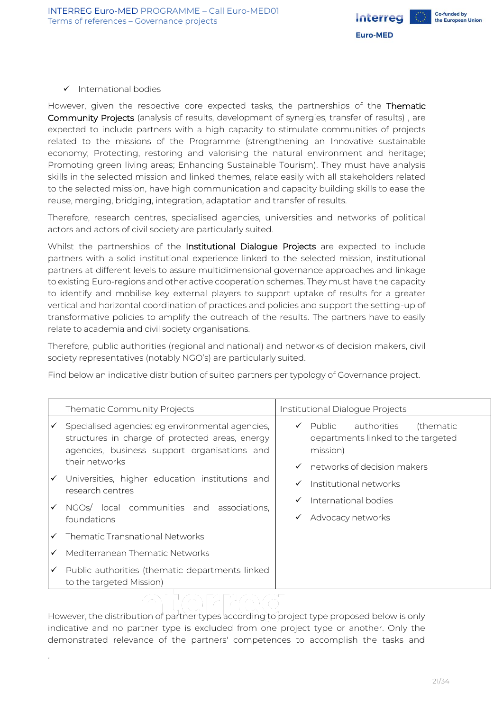

✓ International bodies

21

However, given the respective core expected tasks, the partnerships of the Thematic Community Projects (analysis of results, development of synergies, transfer of results) , are expected to include partners with a high capacity to stimulate communities of projects related to the missions of the Programme (strengthening an Innovative sustainable economy; Protecting, restoring and valorising the natural environment and heritage; Promoting green living areas; Enhancing Sustainable Tourism). They must have analysis skills in the selected mission and linked themes, relate easily with all stakeholders related to the selected mission, have high communication and capacity building skills to ease the reuse, merging, bridging, integration, adaptation and transfer of results.

Therefore, research centres, specialised agencies, universities and networks of political actors and actors of civil society are particularly suited.

Whilst the partnerships of the Institutional Dialogue Projects are expected to include partners with a solid institutional experience linked to the selected mission, institutional partners at different levels to assure multidimensional governance approaches and linkage to existing Euro-regions and other active cooperation schemes. They must have the capacity to identify and mobilise key external players to support uptake of results for a greater vertical and horizontal coordination of practices and policies and support the setting-up of transformative policies to amplify the outreach of the results. The partners have to easily relate to academia and civil society organisations.

Therefore, public authorities (regional and national) and networks of decision makers, civil society representatives (notably NGO's) are particularly suited.

Find below an indicative distribution of suited partners per typology of Governance project.

|              | Thematic Community Projects                                                                                                                                           | Institutional Dialogue Projects                                                                                                                  |
|--------------|-----------------------------------------------------------------------------------------------------------------------------------------------------------------------|--------------------------------------------------------------------------------------------------------------------------------------------------|
| $\checkmark$ | Specialised agencies: eg environmental agencies,<br>structures in charge of protected areas, energy<br>agencies, business support organisations and<br>their networks | Public authorities<br>(thematic<br>$\checkmark$<br>departments linked to the targeted<br>mission)<br>networks of decision makers<br>$\checkmark$ |
| $\checkmark$ | Universities, higher education institutions and<br>research centres                                                                                                   | Institutional networks                                                                                                                           |
|              | NGOs/ local communities and associations,<br>foundations                                                                                                              | International bodies<br>$\checkmark$<br>Advocacy networks<br>$\checkmark$                                                                        |
|              | Thematic Transnational Networks                                                                                                                                       |                                                                                                                                                  |
|              | Mediterranean Thematic Networks                                                                                                                                       |                                                                                                                                                  |
| $\checkmark$ | Public authorities (thematic departments linked<br>to the targeted Mission)                                                                                           |                                                                                                                                                  |

However, the distribution of partner types according to project type proposed below is only indicative and no partner type is excluded from one project type or another. Only the demonstrated relevance of the partners' competences to accomplish the tasks and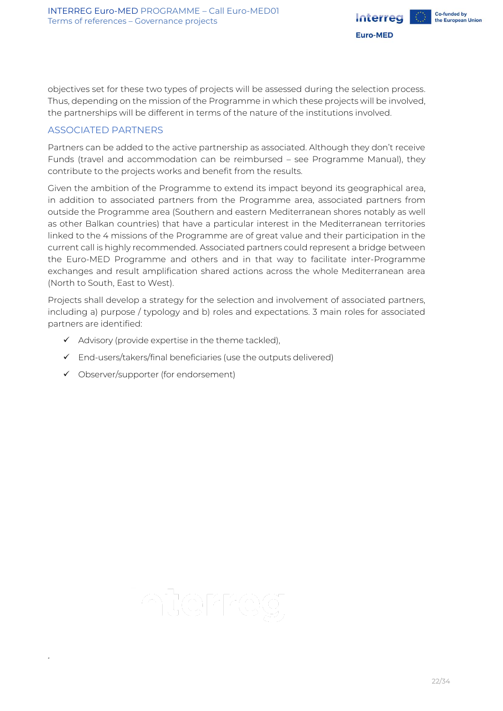objectives set for these two types of projects will be assessed during the selection process. Thus, depending on the mission of the Programme in which these projects will be involved, the partnerships will be different in terms of the nature of the institutions involved.

### <span id="page-21-0"></span>ASSOCIATED PARTNERS

Partners can be added to the active partnership as associated. Although they don't receive Funds (travel and accommodation can be reimbursed – see Programme Manual), they contribute to the projects works and benefit from the results.

Given the ambition of the Programme to extend its impact beyond its geographical area, in addition to associated partners from the Programme area, associated partners from outside the Programme area (Southern and eastern Mediterranean shores notably as well as other Balkan countries) that have a particular interest in the Mediterranean territories linked to the 4 missions of the Programme are of great value and their participation in the current call is highly recommended. Associated partners could represent a bridge between the Euro-MED Programme and others and in that way to facilitate inter-Programme exchanges and result amplification shared actions across the whole Mediterranean area (North to South, East to West).

Projects shall develop a strategy for the selection and involvement of associated partners, including a) purpose / typology and b) roles and expectations. 3 main roles for associated partners are identified:

- $\checkmark$  Advisory (provide expertise in the theme tackled),
- $\checkmark$  End-users/takers/final beneficiaries (use the outputs delivered)
- ✓ Observer/supporter (for endorsement)

22

Co-funded by

the European Union

Interreg

**Euro-MED**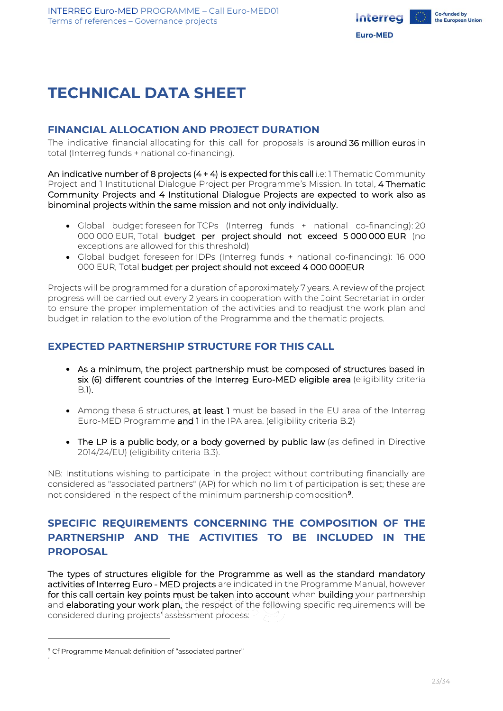

## <span id="page-22-0"></span>**TECHNICAL DATA SHEET**

## <span id="page-22-1"></span>**FINANCIAL ALLOCATION AND PROJECT DURATION**

The indicative financial allocating for this call for proposals is around 36 million euros in total (Interreg funds + national co-financing).

An indicative number of 8 projects  $(4 + 4)$  is expected for this call i.e: 1 Thematic Community Project and 1 Institutional Dialogue Project per Programme's Mission. In total, 4 Thematic Community Projects and 4 Institutional Dialogue Projects are expected to work also as binominal projects within the same mission and not only individually.

- Global budget foreseen for TCPs (Interreg funds + national co-financing): 20 000 000 EUR, Total budget per project should not exceed 5 000 000 EUR (no exceptions are allowed for this threshold)
- Global budget foreseen for IDPs (Interreg funds + national co-financing): 16 000 000 EUR, Total budget per project should not exceed 4 000 000EUR

Projects will be programmed for a duration of approximately 7 years. A review of the project progress will be carried out every 2 years in cooperation with the Joint Secretariat in order to ensure the proper implementation of the activities and to readjust the work plan and budget in relation to the evolution of the Programme and the thematic projects.

## <span id="page-22-2"></span>**EXPECTED PARTNERSHIP STRUCTURE FOR THIS CALL**

- As a minimum, the project partnership must be composed of structures based in six (6) different countries of the Interreg Euro-MED eligible area (eligibility criteria B.1).
- Among these 6 structures, at least 1 must be based in the EU area of the Interreg Euro-MED Programme and 1 in the IPA area. (eligibility criteria B.2)
- The LP is a public body, or a body governed by public law (as defined in Directive 2014/24/EU) (eligibility criteria B.3).

NB: Institutions wishing to participate in the project without contributing financially are considered as "associated partners" (AP) for which no limit of participation is set; these are not considered in the respect of the minimum partnership composition<sup>9</sup>.

## <span id="page-22-3"></span>**SPECIFIC REQUIREMENTS CONCERNING THE COMPOSITION OF THE PARTNERSHIP AND THE ACTIVITIES TO BE INCLUDED IN THE PROPOSAL**

The types of structures eligible for the Programme as well as the standard mandatory activities of Interreg Euro - MED projects are indicated in the Programme Manual, however for this call certain key points must be taken into account when building your partnership and elaborating your work plan, the respect of the following specific requirements will be considered during projects' assessment process:

<sup>&</sup>lt;sup>9</sup> Cf Programme Manual: definition of "associated partner"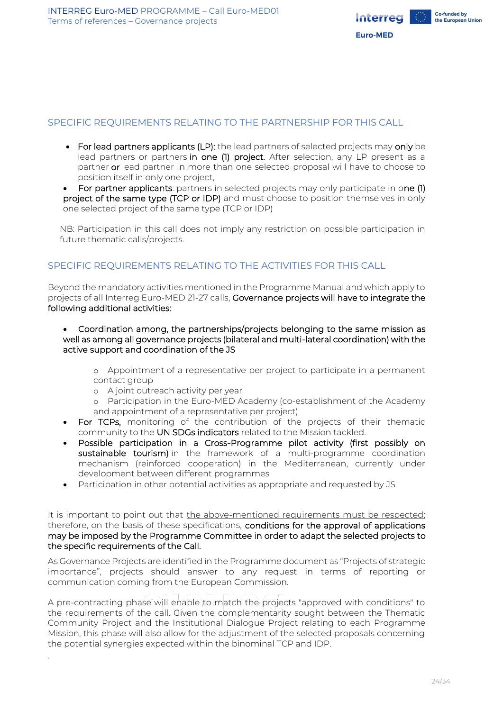

## <span id="page-23-0"></span>SPECIFIC REQUIREMENTS RELATING TO THE PARTNERSHIP FOR THIS CALL

- For lead partners applicants (LP): the lead partners of selected projects may only be lead partners or partners in one (1) project. After selection, any LP present as a partner or lead partner in more than one selected proposal will have to choose to position itself in only one project,
- For partner applicants: partners in selected projects may only participate in one (1) project of the same type (TCP or IDP) and must choose to position themselves in only one selected project of the same type (TCP or IDP)

NB: Participation in this call does not imply any restriction on possible participation in future thematic calls/projects.

## <span id="page-23-1"></span>SPECIFIC REQUIREMENTS RELATING TO THE ACTIVITIES FOR THIS CALL

Beyond the mandatory activities mentioned in the Programme Manual and which apply to projects of all Interreg Euro-MED 21-27 calls, Governance projects will have to integrate the following additional activities:

• Coordination among, the partnerships/projects belonging to the same mission as well as among all governance projects (bilateral and multi-lateral coordination) with the active support and coordination of the JS

o Appointment of a representative per project to participate in a permanent contact group

o A joint outreach activity per year

24

o Participation in the Euro-MED Academy (co-establishment of the Academy and appointment of a representative per project)

- For TCPs, monitoring of the contribution of the projects of their thematic community to the UN SDGs indicators related to the Mission tackled.
- Possible participation in a Cross-Programme pilot activity (first possibly on sustainable tourism) in the framework of a multi-programme coordination mechanism (reinforced cooperation) in the Mediterranean, currently under development between different programmes
- Participation in other potential activities as appropriate and requested by JS

It is important to point out that the above-mentioned requirements must be respected; therefore, on the basis of these specifications, conditions for the approval of applications may be imposed by the Programme Committee in order to adapt the selected projects to the specific requirements of the Call.

As Governance Projects are identified in the Programme document as "Projects of strategic importance", projects should answer to any request in terms of reporting or communication coming from the European Commission.

A pre-contracting phase will enable to match the projects "approved with conditions" to the requirements of the call. Given the complementarity sought between the Thematic Community Project and the Institutional Dialogue Project relating to each Programme Mission, this phase will also allow for the adjustment of the selected proposals concerning the potential synergies expected within the binominal TCP and IDP.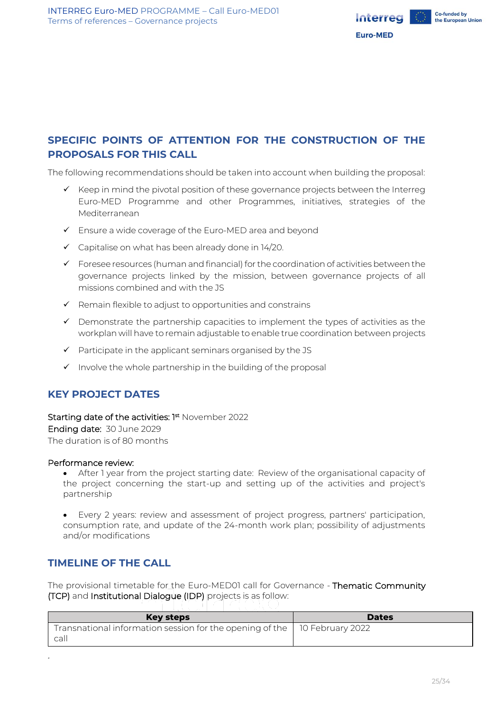

## <span id="page-24-0"></span>**SPECIFIC POINTS OF ATTENTION FOR THE CONSTRUCTION OF THE PROPOSALS FOR THIS CALL**

The following recommendations should be taken into account when building the proposal:

- $\checkmark$  Keep in mind the pivotal position of these governance projects between the Interreg Euro-MED Programme and other Programmes, initiatives, strategies of the Mediterranean
- ✓ Ensure a wide coverage of the Euro-MED area and beyond
- $\checkmark$  Capitalise on what has been already done in 14/20.
- $\checkmark$  Foresee resources (human and financial) for the coordination of activities between the governance projects linked by the mission, between governance projects of all missions combined and with the JS
- $\checkmark$  Remain flexible to adjust to opportunities and constrains
- $\checkmark$  Demonstrate the partnership capacities to implement the types of activities as the workplan will have to remain adjustable to enable true coordination between projects
- $\checkmark$  Participate in the applicant seminars organised by the JS
- $\checkmark$  Involve the whole partnership in the building of the proposal

## <span id="page-24-1"></span>**KEY PROJECT DATES**

#### Starting date of the activities: 1st November 2022

Ending date: 30 June 2029 The duration is of 80 months

#### Performance review:

• After 1 year from the project starting date: Review of the organisational capacity of the project concerning the start-up and setting up of the activities and project's partnership

• Every 2 years: review and assessment of project progress, partners' participation, consumption rate, and update of the 24-month work plan; possibility of adjustments and/or modifications

## <span id="page-24-2"></span>**TIMELINE OF THE CALL**

25

The provisional timetable for the Euro-MED01 call for Governance - Thematic Community (TCP) and Institutional Dialogue (IDP) projects is as follow:

| Key steps                                                                   | <b>Dates</b> |
|-----------------------------------------------------------------------------|--------------|
| Transnational information session for the opening of the   10 February 2022 |              |
| call                                                                        |              |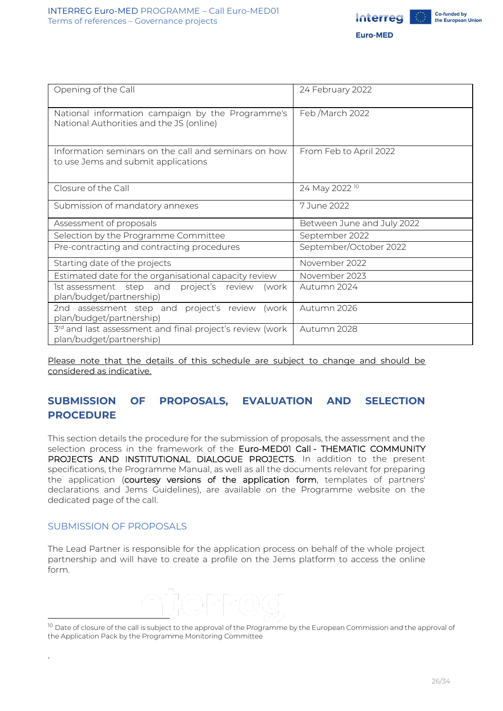

| Opening of the Call                                                                          | 24 February 2022           |
|----------------------------------------------------------------------------------------------|----------------------------|
| National information campaign by the Programme's<br>National Authorities and the JS (online) | Feb/March 2022             |
| Information seminars on the call and seminars on how<br>to use Jems and submit applications  | From Feb to April 2022     |
| Closure of the Call                                                                          | 24 May 2022 <sup>10</sup>  |
| Submission of mandatory annexes                                                              | 7 June 2022                |
| Assessment of proposals                                                                      | Between June and July 2022 |
| Selection by the Programme Committee                                                         | September 2022             |
| Pre-contracting and contracting procedures                                                   | September/October 2022     |
| Starting date of the projects                                                                | November 2022              |
| Estimated date for the organisational capacity review                                        | November 2023              |
| 1st assessment step and<br>project's review<br>(work<br>plan/budget/partnership)             | Autumn 2024                |
| 2nd assessment step and project's review<br>(work<br>plan/budget/partnership)                | Autumn 2026                |
| 3rd and last assessment and final project's review (work<br>plan/budget/partnership)         | Autumn 2028                |

Please note that the details of this schedule are subject to change and should be considered as indicative.

## <span id="page-25-0"></span>**SUBMISSION OF PROPOSALS, EVALUATION AND SELECTION PROCEDURE**

This section details the procedure for the submission of proposals, the assessment and the selection process in the framework of the Euro-MED01 Call - THEMATIC COMMUNITY PROJECTS AND INSTITUTIONAL DIALOGUE PROJECTS. In addition to the present specifications, the Programme Manual, as well as all the documents relevant for preparing the application (courtesy versions of the application form, templates of partners' declarations and Jems Guidelines), are available on the Programme website on the dedicated page of the call.

### <span id="page-25-1"></span>SUBMISSION OF PROPOSALS

26

The Lead Partner is responsible for the application process on behalf of the whole project partnership and will have to create a profile on the Jems platform to access the online form.

<sup>&</sup>lt;sup>10</sup> Date of closure of the call is subject to the approval of the Programme by the European Commission and the approval of the Application Pack by the Programme Monitoring Committee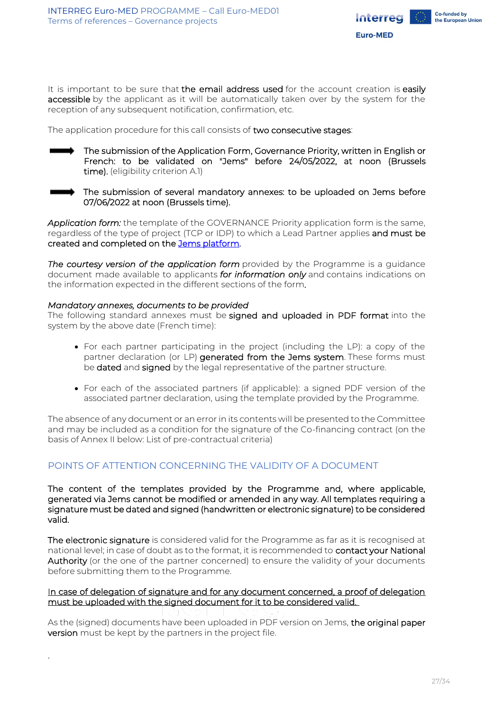

It is important to be sure that the email address used for the account creation is easily accessible by the applicant as it will be automatically taken over by the system for the reception of any subsequent notification, confirmation, etc.

The application procedure for this call consists of two consecutive stages:

The submission of the Application Form, Governance Priority, written in English or French: to be validated on "Jems" before 24/05/2022, at noon (Brussels time). (eligibility criterion A.1)



27

The submission of several mandatory annexes: to be uploaded on Jems before 07/06/2022 at noon (Brussels time).

*Application form:* the template of the GOVERNANCE Priority application form is the same, regardless of the type of project (TCP or IDP) to which a Lead Partner appliesand must be created and completed on the [Jems platform.](https://jems.interreg-euro-med.eu/)

**The courtesy version of the application form** provided by the Programme is a quidance document made available to applicants *for information only* and contains indications on the information expected in the different sections of the form*.*

#### *Mandatory annexes, documents to be provided*

The following standard annexes must be signed and uploaded in PDF format into the system by the above date (French time):

- For each partner participating in the project (including the LP): a copy of the partner declaration (or LP) generated from the Jems system. These forms must be **dated** and **signed** by the legal representative of the partner structure.
- For each of the associated partners (if applicable): a signed PDF version of the associated partner declaration, using the template provided by the Programme.

The absence of any document or an error in its contents will be presented to the Committee and may be included as a condition for the signature of the Co-financing contract (on the basis of Annex II below: List of pre-contractual criteria)

## <span id="page-26-0"></span>POINTS OF ATTENTION CONCERNING THE VALIDITY OF A DOCUMENT

The content of the templates provided by the Programme and, where applicable, generated via Jems cannot be modified or amended in any way. All templates requiring a signature must be dated and signed (handwritten or electronic signature) to be considered valid.

The electronic signature is considered valid for the Programme as far as it is recognised at national level; in case of doubt as to the format, it is recommended to contact your National Authority (or the one of the partner concerned) to ensure the validity of your documents before submitting them to the Programme.

#### In case of delegation of signature and for any document concerned, a proof of delegation must be uploaded with the signed document for it to be considered valid.

As the (signed) documents have been uploaded in PDF version on Jems, the original paper version must be kept by the partners in the project file.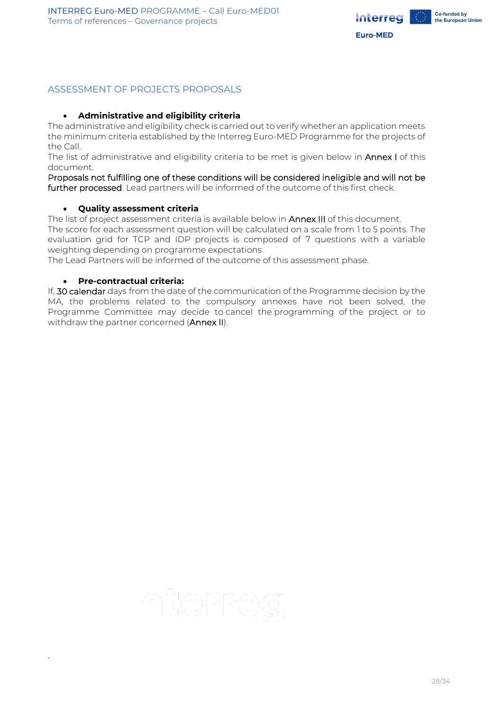

## <span id="page-27-0"></span>ASSESSMENT OF PROJECTS PROPOSALS

#### • **Administrative and eligibility criteria**

The administrative and eligibility check is carried out to verify whether an application meets the minimum criteria established by the Interreg Euro-MED Programme for the projects of the Call.

The list of administrative and eligibility criteria to be met is given below in Annex I of this document.

Proposals not fulfilling one of these conditions will be considered ineligible and will not be further processed. Lead partners will be informed of the outcome of this first check.

#### • **Quality assessment criteria**

The list of project assessment criteria is available below in **Annex III** of this document.

The score for each assessment question will be calculated on a scale from 1 to 5 points. The evaluation grid for TCP and IDP projects is composed of 7 questions with a variable weighting depending on programme expectations.

The Lead Partners will be informed of the outcome of this assessment phase.

#### • **Pre-contractual criteria:**

28

If, 30 calendar days from the date of the communication of the Programme decision by the MA, the problems related to the compulsory annexes have not been solved, the Programme Committee may decide to cancel the programming of the project or to withdraw the partner concerned (Annex II).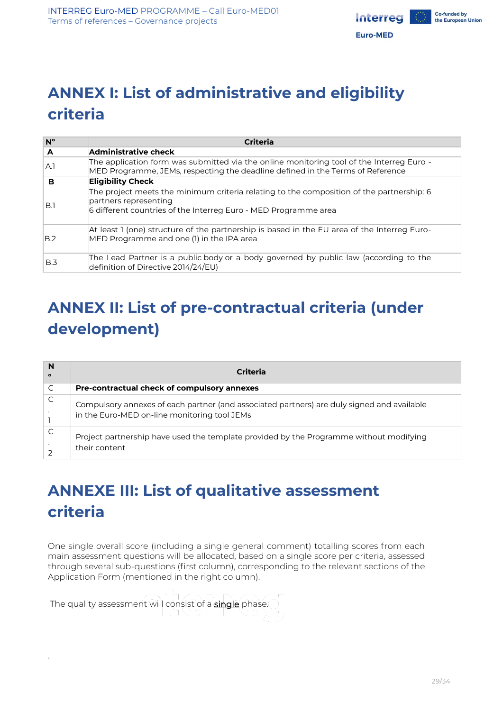

## <span id="page-28-0"></span>**ANNEX I: List of administrative and eligibility criteria**

| $N^{\circ}$    | <b>Criteria</b>                                                                                                                                                                      |
|----------------|--------------------------------------------------------------------------------------------------------------------------------------------------------------------------------------|
| $\mathsf{A}$   | <b>Administrative check</b>                                                                                                                                                          |
| A <sub>1</sub> | The application form was submitted via the online monitoring tool of the Interreg Euro -<br>MED Programme, JEMs, respecting the deadline defined in the Terms of Reference           |
| в              | <b>Eligibility Check</b>                                                                                                                                                             |
| B.1            | The project meets the minimum criteria relating to the composition of the partnership: 6<br>partners representing<br>6 different countries of the Interreg Euro - MED Programme area |
| B.2            | At least 1 (one) structure of the partnership is based in the EU area of the Interreg Euro-<br>MED Programme and one (1) in the IPA area                                             |
| B.3            | The Lead Partner is a public body or a body governed by public law (according to the<br>definition of Directive 2014/24/EU)                                                          |

## <span id="page-28-1"></span>**ANNEX II: List of pre-contractual criteria (under development)**

| N<br>$\bullet$ | <b>Criteria</b>                                                                                                                            |
|----------------|--------------------------------------------------------------------------------------------------------------------------------------------|
| C              | Pre-contractual check of compulsory annexes                                                                                                |
| $\mathsf{C}$   | Compulsory annexes of each partner (and associated partners) are duly signed and available<br>in the Euro-MED on-line monitoring tool JEMs |
| $\mathsf{C}$   | Project partnership have used the template provided by the Programme without modifying<br>their content                                    |

## <span id="page-28-2"></span>**ANNEXE III: List of qualitative assessment criteria**

One single overall score (including a single general comment) totalling scores from each main assessment questions will be allocated, based on a single score per criteria, assessed through several sub-questions (first column), corresponding to the relevant sections of the Application Form (mentioned in the right column).

The quality assessment will consist of a **single** phase.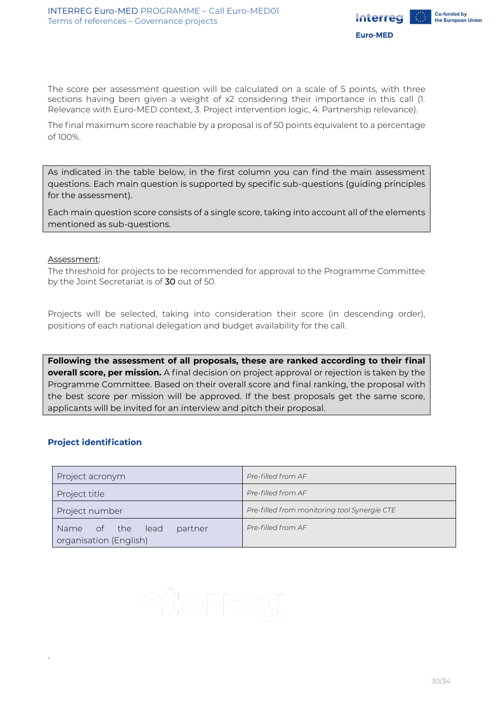

The score per assessment question will be calculated on a scale of 5 points, with three sections having been given a weight of x2 considering their importance in this call (1. Relevance with Euro-MED context, 3. Project intervention logic, 4. Partnership relevance).

The final maximum score reachable by a proposal is of 50 points equivalent to a percentage of 100%.

As indicated in the table below, in the first column you can find the main assessment questions. Each main question is supported by specific sub-questions (guiding principles for the assessment).

Each main question score consists of a single score, taking into account all of the elements mentioned as sub-questions.

#### Assessment:

The threshold for projects to be recommended for approval to the Programme Committee by the Joint Secretariat is of 30 out of 50.

Projects will be selected, taking into consideration their score (in descending order), positions of each national delegation and budget availability for the call.

**Following the assessment of all proposals, these are ranked according to their final overall score, per mission.** A final decision on project approval or rejection is taken by the Programme Committee. Based on their overall score and final ranking, the proposal with the best score per mission will be approved. If the best proposals get the same score, applicants will be invited for an interview and pitch their proposal.

#### **Project identification**

| Project acronym                                                 | Pre-filled from AF                           |
|-----------------------------------------------------------------|----------------------------------------------|
| Project title                                                   | Pre-filled from AF                           |
| Project number                                                  | Pre-filled from monitoring tool Synergie CTE |
| of the<br>ead lead<br>Name<br>partner<br>organisation (English) | Pre-filled from AF                           |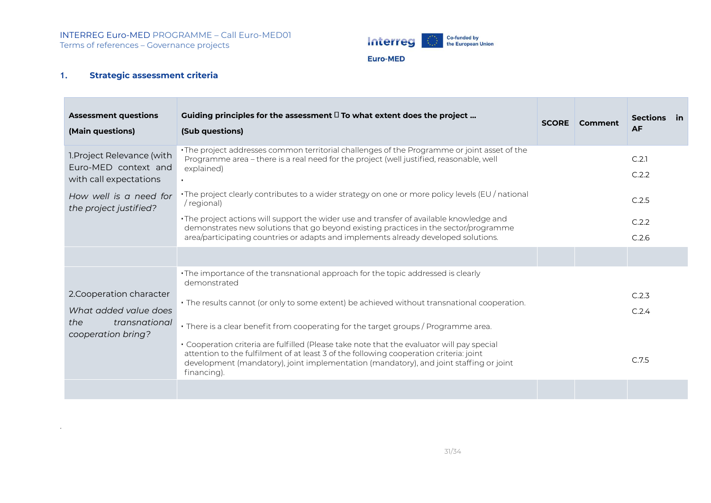

## **1. Strategic assessment criteria**

| <b>Assessment questions</b><br>(Main questions)                                                        | Guiding principles for the assessment $\Box$ To what extent does the project<br>(Sub questions)                                                                                                                                                                                                                                                                                                                                                                                                                                                                                          | <b>SCORE</b> | <b>Comment</b> | Sections in<br><b>AF</b> |  |
|--------------------------------------------------------------------------------------------------------|------------------------------------------------------------------------------------------------------------------------------------------------------------------------------------------------------------------------------------------------------------------------------------------------------------------------------------------------------------------------------------------------------------------------------------------------------------------------------------------------------------------------------------------------------------------------------------------|--------------|----------------|--------------------------|--|
| 1. Project Relevance (with<br>Euro-MED context and<br>with call expectations<br>How well is a need for | · The project addresses common territorial challenges of the Programme or joint asset of the<br>Programme area – there is a real need for the project (well justified, reasonable, well<br>explained)<br>• The project clearly contributes to a wider strategy on one or more policy levels (EU/national                                                                                                                                                                                                                                                                                 |              |                | C.2.1<br>C.2.2           |  |
| the project justified?                                                                                 | / regional)<br>• The project actions will support the wider use and transfer of available knowledge and<br>demonstrates new solutions that go beyond existing practices in the sector/programme<br>area/participating countries or adapts and implements already developed solutions.                                                                                                                                                                                                                                                                                                    |              |                | C.2.5<br>C.2.2<br>C.2.6  |  |
|                                                                                                        |                                                                                                                                                                                                                                                                                                                                                                                                                                                                                                                                                                                          |              |                |                          |  |
| 2. Cooperation character<br>What added value does<br>the<br>transnational<br>cooperation bring?        | •The importance of the transnational approach for the topic addressed is clearly<br>demonstrated<br>· The results cannot (or only to some extent) be achieved without transnational cooperation.<br>· There is a clear benefit from cooperating for the target groups / Programme area.<br>• Cooperation criteria are fulfilled (Please take note that the evaluator will pay special<br>attention to the fulfilment of at least 3 of the following cooperation criteria: joint<br>development (mandatory), joint implementation (mandatory), and joint staffing or joint<br>financing). |              |                | C.2.3<br>C.2.4<br>C.7.5  |  |
|                                                                                                        |                                                                                                                                                                                                                                                                                                                                                                                                                                                                                                                                                                                          |              |                |                          |  |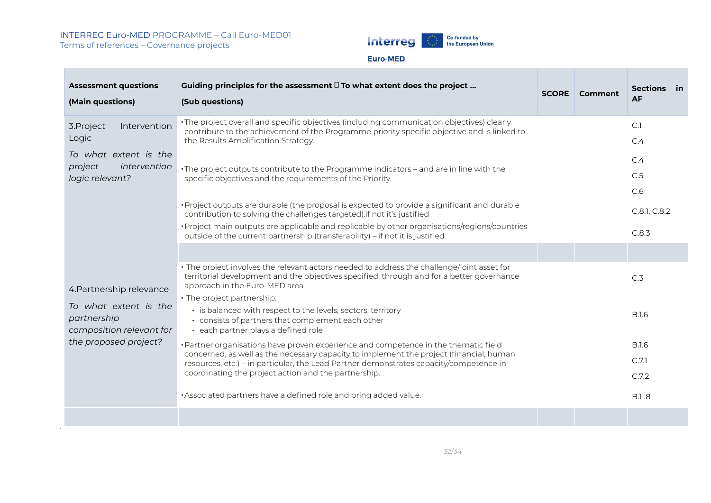#### INTERREG Euro-MED PROGRAMME – Call Euro-MED01 Terms of references – Governance projects

32



#### Euro-MED

| <b>Assessment questions</b><br>(Main questions)                                                                       | Guiding principles for the assessment $\Box$ To what extent does the project<br>(Sub questions)                                                                                                                                                                                                                                  | <b>SCORE</b> | <b>Comment</b> | Sections in<br><b>AF</b> |
|-----------------------------------------------------------------------------------------------------------------------|----------------------------------------------------------------------------------------------------------------------------------------------------------------------------------------------------------------------------------------------------------------------------------------------------------------------------------|--------------|----------------|--------------------------|
| Intervention<br>3. Project<br>Logic                                                                                   | · The project overall and specific objectives (including communication objectives) clearly<br>contribute to the achievement of the Programme priority specific objective and is linked to<br>the Results Amplification Strategy.                                                                                                 |              |                | C.1<br>C.4               |
| To what extent is the<br>project<br>intervention<br>logic relevant?                                                   | •The project outputs contribute to the Programme indicators - and are in line with the<br>specific objectives and the requirements of the Priority.                                                                                                                                                                              |              |                | C.4<br>C.5<br>C.6        |
|                                                                                                                       | · Project outputs are durable (the proposal is expected to provide a significant and durable<br>contribution to solving the challenges targeted) if not it's justified                                                                                                                                                           |              |                | C.8.1, C.8.2             |
|                                                                                                                       | · Project main outputs are applicable and replicable by other organisations/regions/countries<br>outside of the current partnership (transferability) - if not it is justified                                                                                                                                                   |              |                | C.8.3                    |
|                                                                                                                       |                                                                                                                                                                                                                                                                                                                                  |              |                |                          |
| 4. Partnership relevance<br>To what extent is the<br>partnership<br>composition relevant for<br>the proposed project? | · The project involves the relevant actors needed to address the challenge/joint asset for<br>territorial development and the objectives specified, through and for a better governance<br>approach in the Euro-MED area                                                                                                         |              |                | C.3                      |
|                                                                                                                       | • The project partnership:<br>- is balanced with respect to the levels, sectors, territory<br>- consists of partners that complement each other<br>- each partner plays a defined role                                                                                                                                           |              |                | <b>B.I.6</b>             |
|                                                                                                                       | · Partner organisations have proven experience and competence in the thematic field<br>concerned, as well as the necessary capacity to implement the project (financial, human<br>resources, etc.) – in particular, the Lead Partner demonstrates capacity/competence in<br>coordinating the project action and the partnership. |              |                | <b>B.1.6</b>             |
|                                                                                                                       |                                                                                                                                                                                                                                                                                                                                  |              |                | C.7.1                    |
|                                                                                                                       |                                                                                                                                                                                                                                                                                                                                  |              |                | C.7.2                    |
|                                                                                                                       | · Associated partners have a defined role and bring added value.                                                                                                                                                                                                                                                                 |              |                | <b>B.1.8</b>             |
|                                                                                                                       |                                                                                                                                                                                                                                                                                                                                  |              |                |                          |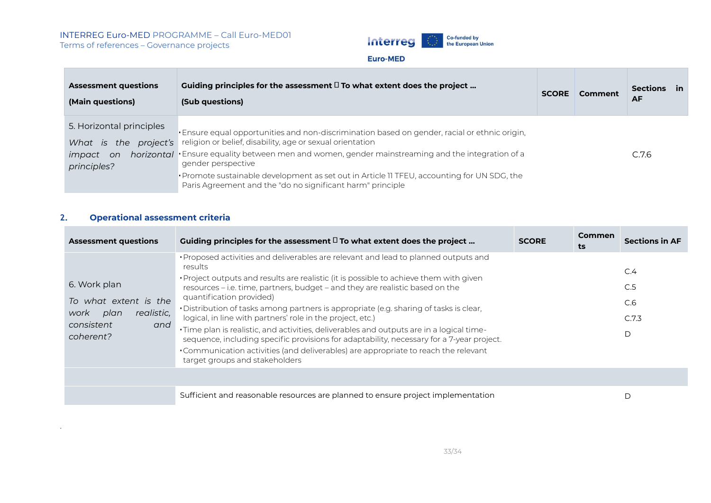#### INTERREG Euro-MED PROGRAMME – Call Euro-MED01 Terms of references – Governance projects



#### **Euro-MED**

| <b>Assessment questions</b><br>(Main questions)                                         | Guiding principles for the assessment $\Box$ To what extent does the project<br>(Sub questions)                                                                                                                                                                                                                                                                                                                                                  | <b>SCORE</b> | Comment | <b>Sections</b><br><b>AF</b> | <b>in</b> |
|-----------------------------------------------------------------------------------------|--------------------------------------------------------------------------------------------------------------------------------------------------------------------------------------------------------------------------------------------------------------------------------------------------------------------------------------------------------------------------------------------------------------------------------------------------|--------------|---------|------------------------------|-----------|
| 5. Horizontal principles<br>What is the<br>project's<br><i>impact</i> on<br>principles? | · Ensure equal opportunities and non-discrimination based on gender, racial or ethnic origin,<br>religion or belief, disability, age or sexual orientation<br>horizontal Ensure equality between men and women, gender mainstreaming and the integration of a<br>gender perspective<br>· Promote sustainable development as set out in Article 11 TFEU, accounting for UN SDG, the<br>Paris Agreement and the "do no significant harm" principle |              |         | C.7.6                        |           |

#### **2. Operational assessment criteria**

33

**Contract Contract** 

| <b>Assessment questions</b>                                                                           | Guiding principles for the assessment $\Box$ To what extent does the project                                                                                                                                                                                                                                                                                                                                                                                                                                                                                                                                                                                                                                                                                                     | <b>SCORE</b> | <b>Commen</b><br>ts | <b>Sections in AF</b>           |
|-------------------------------------------------------------------------------------------------------|----------------------------------------------------------------------------------------------------------------------------------------------------------------------------------------------------------------------------------------------------------------------------------------------------------------------------------------------------------------------------------------------------------------------------------------------------------------------------------------------------------------------------------------------------------------------------------------------------------------------------------------------------------------------------------------------------------------------------------------------------------------------------------|--------------|---------------------|---------------------------------|
| 6. Work plan<br>To what extent is the<br>realistic.<br>plan<br>work<br>consistent<br>and<br>coherent? | • Proposed activities and deliverables are relevant and lead to planned outputs and<br>results<br>• Project outputs and results are realistic (it is possible to achieve them with given<br>resources - i.e. time, partners, budget - and they are realistic based on the<br>quantification provided)<br>· Distribution of tasks among partners is appropriate (e.g. sharing of tasks is clear,<br>logical, in line with partners' role in the project, etc.)<br>· Time plan is realistic, and activities, deliverables and outputs are in a logical time-<br>sequence, including specific provisions for adaptability, necessary for a 7-year project.<br>• Communication activities (and deliverables) are appropriate to reach the relevant<br>target groups and stakeholders |              |                     | C.4<br>C.5<br>C.6<br>C.7.3<br>D |
|                                                                                                       |                                                                                                                                                                                                                                                                                                                                                                                                                                                                                                                                                                                                                                                                                                                                                                                  |              |                     |                                 |
|                                                                                                       | Sufficient and reasonable resources are planned to ensure project implementation                                                                                                                                                                                                                                                                                                                                                                                                                                                                                                                                                                                                                                                                                                 |              |                     | D                               |